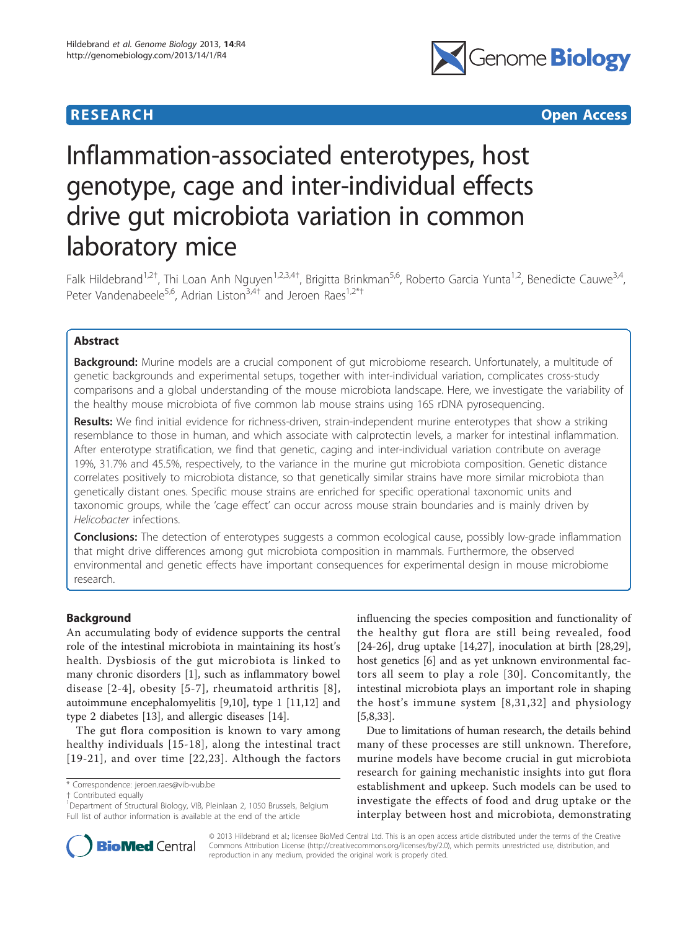

**RESEARCH CONSTRUCTION CONTROL** 

# Inflammation-associated enterotypes, host genotype, cage and inter-individual effects drive gut microbiota variation in common laboratory mice

Falk Hildebrand<sup>1,2†</sup>, Thi Loan Anh Nguyen<sup>1,2,3,4†</sup>, Brigitta Brinkman<sup>5,6</sup>, Roberto Garcia Yunta<sup>1,2</sup>, Benedicte Cauwe<sup>3,4</sup>, Peter Vandenabeele<sup>5,6</sup>, Adrian Liston<sup>3,4†</sup> and Jeroen Raes<sup>1,2\*†</sup>

# Abstract

Background: Murine models are a crucial component of gut microbiome research. Unfortunately, a multitude of genetic backgrounds and experimental setups, together with inter-individual variation, complicates cross-study comparisons and a global understanding of the mouse microbiota landscape. Here, we investigate the variability of the healthy mouse microbiota of five common lab mouse strains using 16S rDNA pyrosequencing.

Results: We find initial evidence for richness-driven, strain-independent murine enterotypes that show a striking resemblance to those in human, and which associate with calprotectin levels, a marker for intestinal inflammation. After enterotype stratification, we find that genetic, caging and inter-individual variation contribute on average 19%, 31.7% and 45.5%, respectively, to the variance in the murine gut microbiota composition. Genetic distance correlates positively to microbiota distance, so that genetically similar strains have more similar microbiota than genetically distant ones. Specific mouse strains are enriched for specific operational taxonomic units and taxonomic groups, while the 'cage effect' can occur across mouse strain boundaries and is mainly driven by Helicobacter infections.

**Conclusions:** The detection of enterotypes suggests a common ecological cause, possibly low-grade inflammation that might drive differences among gut microbiota composition in mammals. Furthermore, the observed environmental and genetic effects have important consequences for experimental design in mouse microbiome research.

# Background

An accumulating body of evidence supports the central role of the intestinal microbiota in maintaining its host's health. Dysbiosis of the gut microbiota is linked to many chronic disorders [[1\]](#page-11-0), such as inflammatory bowel disease [[2](#page-11-0)-[4\]](#page-11-0), obesity [[5-7](#page-11-0)], rheumatoid arthritis [[8\]](#page-11-0), autoimmune encephalomyelitis [[9](#page-11-0),[10](#page-12-0)], type 1 [[11,12](#page-12-0)] and type 2 diabetes [\[13](#page-12-0)], and allergic diseases [[14\]](#page-12-0).

The gut flora composition is known to vary among healthy individuals [[15](#page-12-0)-[18\]](#page-12-0), along the intestinal tract [[19-21](#page-12-0)], and over time [[22](#page-12-0),[23](#page-12-0)]. Although the factors

† Contributed equally <sup>1</sup>

influencing the species composition and functionality of the healthy gut flora are still being revealed, food [[24-26\]](#page-12-0), drug uptake [\[14,27\]](#page-12-0), inoculation at birth [[28](#page-12-0),[29](#page-12-0)], host genetics [\[6](#page-11-0)] and as yet unknown environmental factors all seem to play a role [[30\]](#page-12-0). Concomitantly, the intestinal microbiota plays an important role in shaping the host's immune system [[8,](#page-11-0)[31](#page-12-0),[32](#page-12-0)] and physiology [[5,8,](#page-11-0)[33\]](#page-12-0).

Due to limitations of human research, the details behind many of these processes are still unknown. Therefore, murine models have become crucial in gut microbiota research for gaining mechanistic insights into gut flora establishment and upkeep. Such models can be used to investigate the effects of food and drug uptake or the interplay between host and microbiota, demonstrating



© 2013 Hildebrand et al.; licensee BioMed Central Ltd. This is an open access article distributed under the terms of the Creative Commons Attribution License [\(http://creativecommons.org/licenses/by/2.0](http://creativecommons.org/licenses/by/2.0)), which permits unrestricted use, distribution, and reproduction in any medium, provided the original work is properly cited.

<sup>\*</sup> Correspondence: [jeroen.raes@vib-vub.be](mailto:jeroen.raes@vib-vub.be)

<sup>&</sup>lt;sup>1</sup>Department of Structural Biology, VIB, Pleinlaan 2, 1050 Brussels, Belgium Full list of author information is available at the end of the article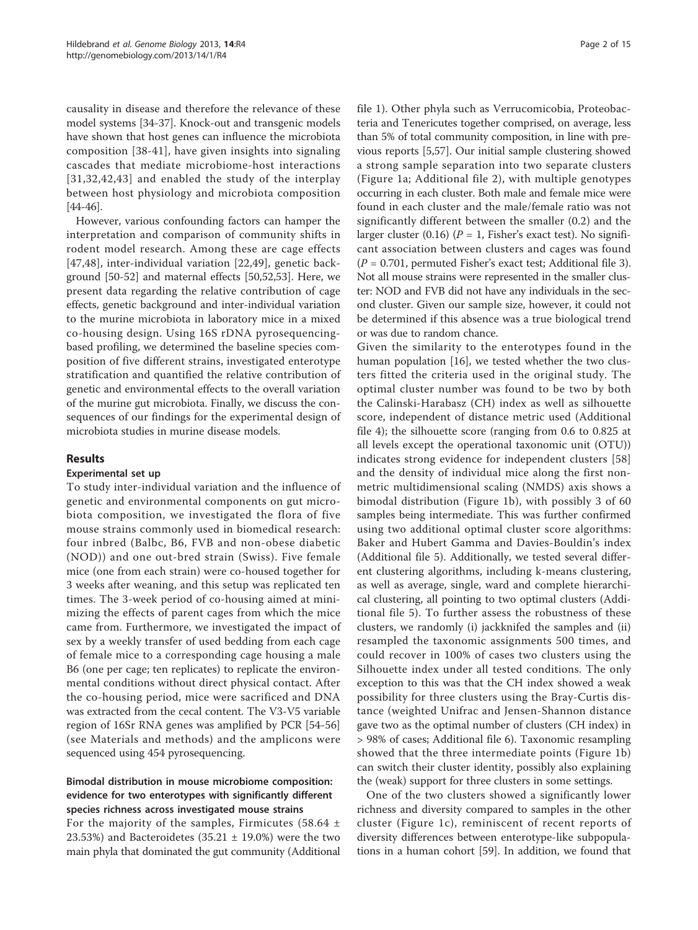causality in disease and therefore the relevance of these model systems [\[34-37](#page-12-0)]. Knock-out and transgenic models have shown that host genes can influence the microbiota composition [[38](#page-12-0)-[41](#page-12-0)], have given insights into signaling cascades that mediate microbiome-host interactions [[31,32,42,43\]](#page-12-0) and enabled the study of the interplay between host physiology and microbiota composition [[44](#page-12-0)-[46](#page-12-0)].

However, various confounding factors can hamper the interpretation and comparison of community shifts in rodent model research. Among these are cage effects [[47,48](#page-13-0)], inter-individual variation [[22](#page-12-0)[,49\]](#page-13-0), genetic background [\[50](#page-13-0)-[52\]](#page-13-0) and maternal effects [[50,52](#page-13-0),[53](#page-13-0)]. Here, we present data regarding the relative contribution of cage effects, genetic background and inter-individual variation to the murine microbiota in laboratory mice in a mixed co-housing design. Using 16S rDNA pyrosequencingbased profiling, we determined the baseline species composition of five different strains, investigated enterotype stratification and quantified the relative contribution of genetic and environmental effects to the overall variation of the murine gut microbiota. Finally, we discuss the consequences of our findings for the experimental design of microbiota studies in murine disease models.

# Results

#### Experimental set up

To study inter-individual variation and the influence of genetic and environmental components on gut microbiota composition, we investigated the flora of five mouse strains commonly used in biomedical research: four inbred (Balbc, B6, FVB and non-obese diabetic (NOD)) and one out-bred strain (Swiss). Five female mice (one from each strain) were co-housed together for 3 weeks after weaning, and this setup was replicated ten times. The 3-week period of co-housing aimed at minimizing the effects of parent cages from which the mice came from. Furthermore, we investigated the impact of sex by a weekly transfer of used bedding from each cage of female mice to a corresponding cage housing a male B6 (one per cage; ten replicates) to replicate the environmental conditions without direct physical contact. After the co-housing period, mice were sacrificed and DNA was extracted from the cecal content. The V3-V5 variable region of 16Sr RNA genes was amplified by PCR [[54-56](#page-13-0)] (see Materials and methods) and the amplicons were sequenced using 454 pyrosequencing.

# Bimodal distribution in mouse microbiome composition: evidence for two enterotypes with significantly different species richness across investigated mouse strains

For the majority of the samples, Firmicutes (58.64  $\pm$ 23.53%) and Bacteroidetes (35.21  $\pm$  19.0%) were the two main phyla that dominated the gut community (Additional file [1\)](#page-10-0). Other phyla such as Verrucomicobia, Proteobacteria and Tenericutes together comprised, on average, less than 5% of total community composition, in line with previous reports [[5,](#page-11-0)[57\]](#page-13-0). Our initial sample clustering showed a strong sample separation into two separate clusters (Figure [1a;](#page-2-0) Additional file [2](#page-10-0)), with multiple genotypes occurring in each cluster. Both male and female mice were found in each cluster and the male/female ratio was not significantly different between the smaller (0.2) and the larger cluster (0.16) ( $P = 1$ , Fisher's exact test). No significant association between clusters and cages was found  $(P = 0.701$ , permuted Fisher's exact test; Additional file [3](#page-10-0)). Not all mouse strains were represented in the smaller cluster: NOD and FVB did not have any individuals in the second cluster. Given our sample size, however, it could not be determined if this absence was a true biological trend or was due to random chance.

Given the similarity to the enterotypes found in the human population [\[16](#page-12-0)], we tested whether the two clusters fitted the criteria used in the original study. The optimal cluster number was found to be two by both the Calinski-Harabasz (CH) index as well as silhouette score, independent of distance metric used (Additional file [4](#page-10-0)); the silhouette score (ranging from 0.6 to 0.825 at all levels except the operational taxonomic unit (OTU)) indicates strong evidence for independent clusters [\[58](#page-13-0)] and the density of individual mice along the first nonmetric multidimensional scaling (NMDS) axis shows a bimodal distribution (Figure [1b\)](#page-2-0), with possibly 3 of 60 samples being intermediate. This was further confirmed using two additional optimal cluster score algorithms: Baker and Hubert Gamma and Davies-Bouldin's index (Additional file [5](#page-10-0)). Additionally, we tested several different clustering algorithms, including k-means clustering, as well as average, single, ward and complete hierarchical clustering, all pointing to two optimal clusters (Additional file [5\)](#page-10-0). To further assess the robustness of these clusters, we randomly (i) jackknifed the samples and (ii) resampled the taxonomic assignments 500 times, and could recover in 100% of cases two clusters using the Silhouette index under all tested conditions. The only exception to this was that the CH index showed a weak possibility for three clusters using the Bray-Curtis distance (weighted Unifrac and Jensen-Shannon distance gave two as the optimal number of clusters (CH index) in > 98% of cases; Additional file [6\)](#page-10-0). Taxonomic resampling showed that the three intermediate points (Figure [1b](#page-2-0)) can switch their cluster identity, possibly also explaining the (weak) support for three clusters in some settings.

One of the two clusters showed a significantly lower richness and diversity compared to samples in the other cluster (Figure [1c](#page-2-0)), reminiscent of recent reports of diversity differences between enterotype-like subpopulations in a human cohort [[59\]](#page-13-0). In addition, we found that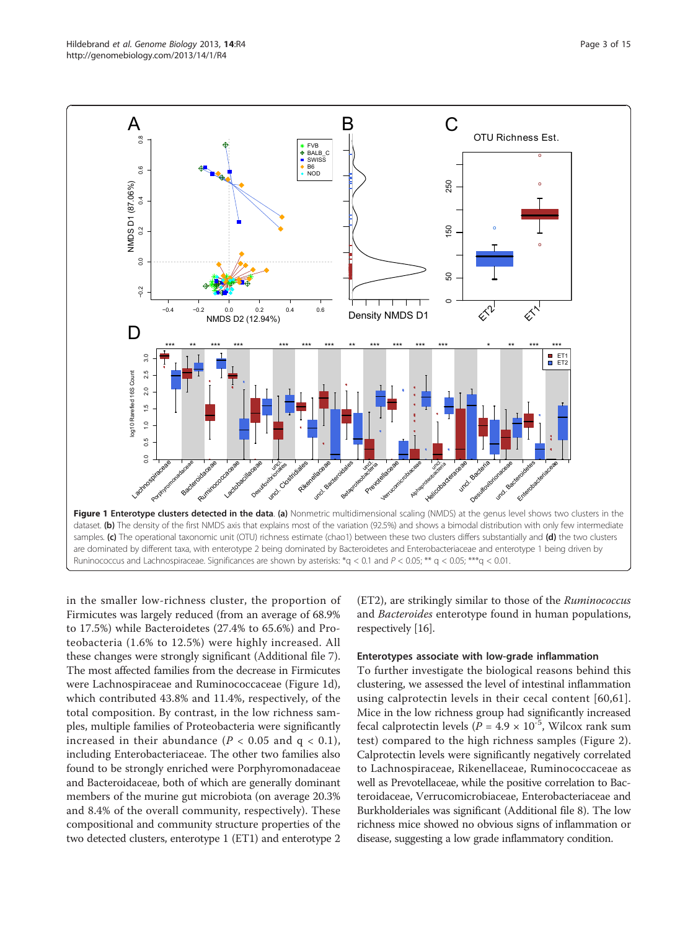in the smaller low-richness cluster, the proportion of Firmicutes was largely reduced (from an average of 68.9% to 17.5%) while Bacteroidetes (27.4% to 65.6%) and Proteobacteria (1.6% to 12.5%) were highly increased. All these changes were strongly significant (Additional file [7](#page-11-0)). The most affected families from the decrease in Firmicutes were Lachnospiraceae and Ruminococcaceae (Figure 1d), which contributed 43.8% and 11.4%, respectively, of the total composition. By contrast, in the low richness samples, multiple families of Proteobacteria were significantly increased in their abundance ( $P < 0.05$  and  $q < 0.1$ ), including Enterobacteriaceae. The other two families also found to be strongly enriched were Porphyromonadaceae and Bacteroidaceae, both of which are generally dominant members of the murine gut microbiota (on average 20.3% and 8.4% of the overall community, respectively). These compositional and community structure properties of the two detected clusters, enterotype 1 (ET1) and enterotype 2

(ET2), are strikingly similar to those of the Ruminococcus and Bacteroides enterotype found in human populations, respectively [[16](#page-12-0)].

#### Enterotypes associate with low-grade inflammation

To further investigate the biological reasons behind this clustering, we assessed the level of intestinal inflammation using calprotectin levels in their cecal content [[60](#page-13-0),[61](#page-13-0)]. Mice in the low richness group had significantly increased fecal calprotectin levels ( $P = 4.9 \times 10^{-5}$ , Wilcox rank sum test) compared to the high richness samples (Figure [2](#page-3-0)). Calprotectin levels were significantly negatively correlated to Lachnospiraceae, Rikenellaceae, Ruminococcaceae as well as Prevotellaceae, while the positive correlation to Bacteroidaceae, Verrucomicrobiaceae, Enterobacteriaceae and Burkholderiales was significant (Additional file [8\)](#page-11-0). The low richness mice showed no obvious signs of inflammation or disease, suggesting a low grade inflammatory condition.

<span id="page-2-0"></span>

B C

250

 $0.6$ 

 $\overline{0.4}$ 

 $\overline{A}$  B

FVB BALB\_C<br>SWISS **B6** NOD

OTU Richness Est.

C

C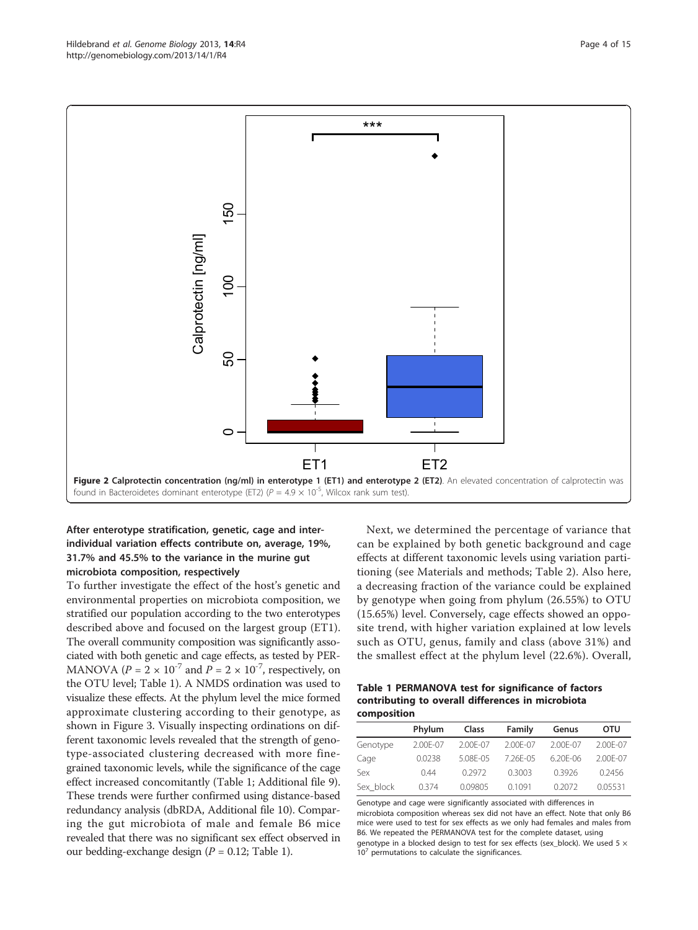<span id="page-3-0"></span>

# After enterotype stratification, genetic, cage and interindividual variation effects contribute on, average, 19%, 31.7% and 45.5% to the variance in the murine gut microbiota composition, respectively

To further investigate the effect of the host's genetic and environmental properties on microbiota composition, we stratified our population according to the two enterotypes described above and focused on the largest group (ET1). The overall community composition was significantly associated with both genetic and cage effects, as tested by PER-MANOVA ( $P = 2 \times 10^{-7}$  and  $P = 2 \times 10^{-7}$ , respectively, on the OTU level; Table 1). A NMDS ordination was used to visualize these effects. At the phylum level the mice formed approximate clustering according to their genotype, as shown in Figure [3.](#page-4-0) Visually inspecting ordinations on different taxonomic levels revealed that the strength of genotype-associated clustering decreased with more finegrained taxonomic levels, while the significance of the cage effect increased concomitantly (Table 1; Additional file [9](#page-11-0)). These trends were further confirmed using distance-based redundancy analysis (dbRDA, Additional file [10\)](#page-11-0). Comparing the gut microbiota of male and female B6 mice revealed that there was no significant sex effect observed in our bedding-exchange design  $(P = 0.12;$  Table 1).

Next, we determined the percentage of variance that can be explained by both genetic background and cage effects at different taxonomic levels using variation partitioning (see Materials and methods; Table [2](#page-4-0)). Also here, a decreasing fraction of the variance could be explained by genotype when going from phylum (26.55%) to OTU (15.65%) level. Conversely, cage effects showed an opposite trend, with higher variation explained at low levels such as OTU, genus, family and class (above 31%) and the smallest effect at the phylum level (22.6%). Overall,

#### Table 1 PERMANOVA test for significance of factors contributing to overall differences in microbiota composition

|           | Phylum       | Class        | Family       | Genus        | OTU          |
|-----------|--------------|--------------|--------------|--------------|--------------|
| Genotype  | $2.00F - 07$ | $2.00F - 07$ | $2.00F - 07$ | $2.00F - 07$ | $2.00F - 07$ |
| Cage      | 0.0238       | 5.08F-05     | 7 26F-05     | 620F-06      | $2.00F - 07$ |
| Sex       | 0.44         | 0.2972       | 0.3003       | 03926        | 02456        |
| Sex block | 0.374        | 0.09805      | 0.1091       | 0.2072       | 0.05531      |

Genotype and cage were significantly associated with differences in microbiota composition whereas sex did not have an effect. Note that only B6 mice were used to test for sex effects as we only had females and males from B6. We repeated the PERMANOVA test for the complete dataset, using genotype in a blocked design to test for sex effects (sex\_block). We used 5  $\times$  $10<sup>7</sup>$  permutations to calculate the significances.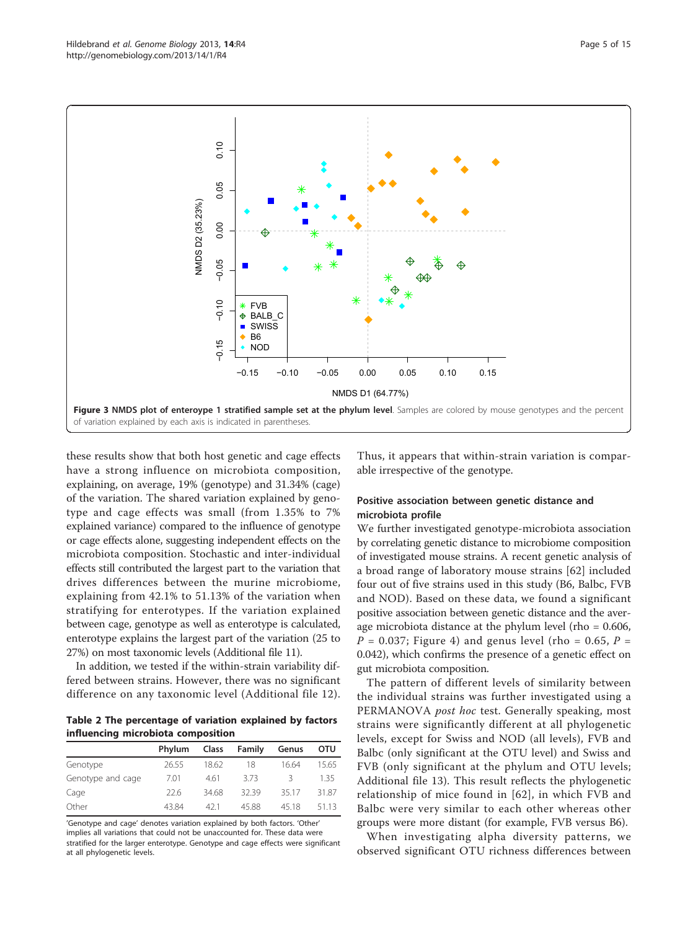<span id="page-4-0"></span>

these results show that both host genetic and cage effects have a strong influence on microbiota composition, explaining, on average, 19% (genotype) and 31.34% (cage) of the variation. The shared variation explained by genotype and cage effects was small (from 1.35% to 7% explained variance) compared to the influence of genotype or cage effects alone, suggesting independent effects on the microbiota composition. Stochastic and inter-individual effects still contributed the largest part to the variation that drives differences between the murine microbiome, explaining from 42.1% to 51.13% of the variation when stratifying for enterotypes. If the variation explained between cage, genotype as well as enterotype is calculated, enterotype explains the largest part of the variation (25 to 27%) on most taxonomic levels (Additional file [11](#page-11-0)).

In addition, we tested if the within-strain variability differed between strains. However, there was no significant difference on any taxonomic level (Additional file [12\)](#page-11-0).

Table 2 The percentage of variation explained by factors influencing microbiota composition

|                   | Phylum | Class | Family | Genus | OTU   |
|-------------------|--------|-------|--------|-------|-------|
| Genotype          | 26.55  | 18.62 | 18     | 16.64 | 15.65 |
| Genotype and cage | 7.01   | 4.61  | 3.73   | 2     | 1.35  |
| Cage              | 22.6   | 34.68 | 32.39  | 35.17 | 31.87 |
| Other             | 43.84  | 421   | 45.88  | 4518  | 51.13 |

'Genotype and cage' denotes variation explained by both factors. 'Other' implies all variations that could not be unaccounted for. These data were stratified for the larger enterotype. Genotype and cage effects were significant at all phylogenetic levels.

Thus, it appears that within-strain variation is comparable irrespective of the genotype.

### Positive association between genetic distance and microbiota profile

We further investigated genotype-microbiota association by correlating genetic distance to microbiome composition of investigated mouse strains. A recent genetic analysis of a broad range of laboratory mouse strains [\[62\]](#page-13-0) included four out of five strains used in this study (B6, Balbc, FVB and NOD). Based on these data, we found a significant positive association between genetic distance and the average microbiota distance at the phylum level (rho = 0.606,  $P = 0.037$ ; Figure [4](#page-5-0)) and genus level (rho = 0.65,  $P =$ 0.042), which confirms the presence of a genetic effect on gut microbiota composition.

The pattern of different levels of similarity between the individual strains was further investigated using a PERMANOVA post hoc test. Generally speaking, most strains were significantly different at all phylogenetic levels, except for Swiss and NOD (all levels), FVB and Balbc (only significant at the OTU level) and Swiss and FVB (only significant at the phylum and OTU levels; Additional file [13](#page-11-0)). This result reflects the phylogenetic relationship of mice found in [[62](#page-13-0)], in which FVB and Balbc were very similar to each other whereas other groups were more distant (for example, FVB versus B6).

When investigating alpha diversity patterns, we observed significant OTU richness differences between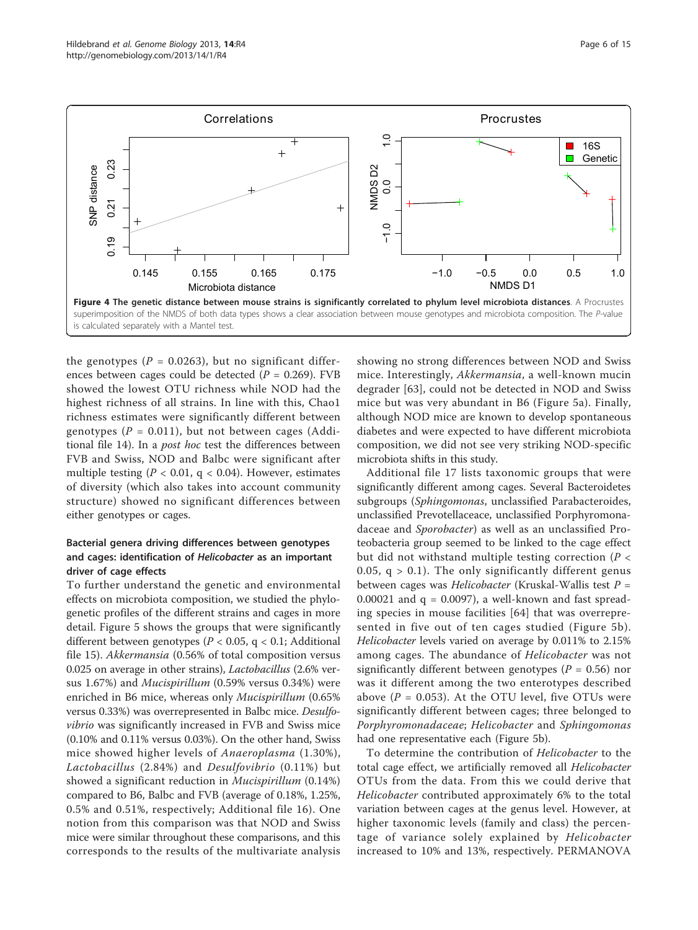<span id="page-5-0"></span>

the genotypes ( $P = 0.0263$ ), but no significant differences between cages could be detected  $(P = 0.269)$ . FVB showed the lowest OTU richness while NOD had the highest richness of all strains. In line with this, Chao1 richness estimates were significantly different between genotypes ( $P = 0.011$ ), but not between cages (Additional file [14](#page-11-0)). In a post hoc test the differences between FVB and Swiss, NOD and Balbc were significant after multiple testing ( $P < 0.01$ , q < 0.04). However, estimates of diversity (which also takes into account community structure) showed no significant differences between either genotypes or cages.

# Bacterial genera driving differences between genotypes and cages: identification of Helicobacter as an important driver of cage effects

To further understand the genetic and environmental effects on microbiota composition, we studied the phylogenetic profiles of the different strains and cages in more detail. Figure [5](#page-6-0) shows the groups that were significantly different between genotypes ( $P < 0.05$ , q < 0.1; Additional file [15](#page-11-0)). Akkermansia (0.56% of total composition versus 0.025 on average in other strains), Lactobacillus (2.6% versus 1.67%) and Mucispirillum (0.59% versus 0.34%) were enriched in B6 mice, whereas only Mucispirillum (0.65% versus 0.33%) was overrepresented in Balbc mice. Desulfovibrio was significantly increased in FVB and Swiss mice (0.10% and 0.11% versus 0.03%). On the other hand, Swiss mice showed higher levels of Anaeroplasma (1.30%), Lactobacillus (2.84%) and Desulfovibrio (0.11%) but showed a significant reduction in Mucispirillum (0.14%) compared to B6, Balbc and FVB (average of 0.18%, 1.25%, 0.5% and 0.51%, respectively; Additional file [16](#page-11-0)). One notion from this comparison was that NOD and Swiss mice were similar throughout these comparisons, and this corresponds to the results of the multivariate analysis showing no strong differences between NOD and Swiss mice. Interestingly, Akkermansia, a well-known mucin degrader [[63\]](#page-13-0), could not be detected in NOD and Swiss mice but was very abundant in B6 (Figure [5a\)](#page-6-0). Finally, although NOD mice are known to develop spontaneous diabetes and were expected to have different microbiota composition, we did not see very striking NOD-specific microbiota shifts in this study.

Additional file [17](#page-11-0) lists taxonomic groups that were significantly different among cages. Several Bacteroidetes subgroups (Sphingomonas, unclassified Parabacteroides, unclassified Prevotellaceace, unclassified Porphyromonadaceae and Sporobacter) as well as an unclassified Proteobacteria group seemed to be linked to the cage effect but did not withstand multiple testing correction ( $P \lt \theta$ 0.05,  $q > 0.1$ ). The only significantly different genus between cages was *Helicobacter* (Kruskal-Wallis test  $P =$ 0.00021 and  $q = 0.0097$ ), a well-known and fast spreading species in mouse facilities [[64\]](#page-13-0) that was overrepresented in five out of ten cages studied (Figure [5b\)](#page-6-0). Helicobacter levels varied on average by 0.011% to 2.15% among cages. The abundance of Helicobacter was not significantly different between genotypes ( $P = 0.56$ ) nor was it different among the two enterotypes described above ( $P = 0.053$ ). At the OTU level, five OTUs were significantly different between cages; three belonged to Porphyromonadaceae; Helicobacter and Sphingomonas had one representative each (Figure [5b\)](#page-6-0).

To determine the contribution of Helicobacter to the total cage effect, we artificially removed all Helicobacter OTUs from the data. From this we could derive that Helicobacter contributed approximately 6% to the total variation between cages at the genus level. However, at higher taxonomic levels (family and class) the percentage of variance solely explained by Helicobacter increased to 10% and 13%, respectively. PERMANOVA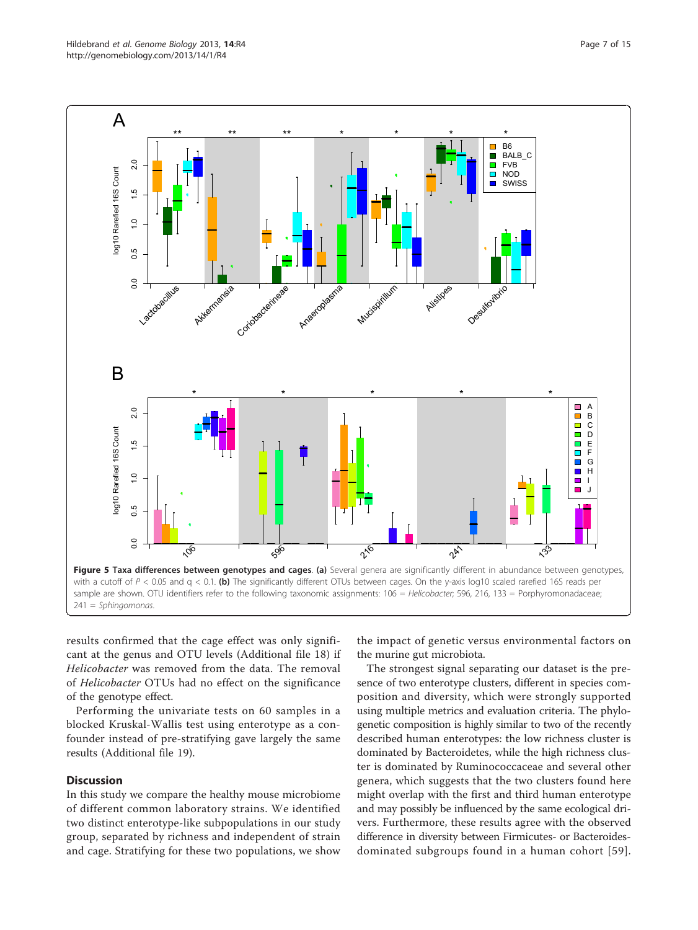<span id="page-6-0"></span>

results confirmed that the cage effect was only significant at the genus and OTU levels (Additional file [18](#page-11-0)) if Helicobacter was removed from the data. The removal of Helicobacter OTUs had no effect on the significance of the genotype effect.

Performing the univariate tests on 60 samples in a blocked Kruskal-Wallis test using enterotype as a confounder instead of pre-stratifying gave largely the same results (Additional file [19](#page-11-0)).

# **Discussion**

In this study we compare the healthy mouse microbiome of different common laboratory strains. We identified two distinct enterotype-like subpopulations in our study group, separated by richness and independent of strain and cage. Stratifying for these two populations, we show the impact of genetic versus environmental factors on the murine gut microbiota.

The strongest signal separating our dataset is the presence of two enterotype clusters, different in species composition and diversity, which were strongly supported using multiple metrics and evaluation criteria. The phylogenetic composition is highly similar to two of the recently described human enterotypes: the low richness cluster is dominated by Bacteroidetes, while the high richness cluster is dominated by Ruminococcaceae and several other genera, which suggests that the two clusters found here might overlap with the first and third human enterotype and may possibly be influenced by the same ecological drivers. Furthermore, these results agree with the observed difference in diversity between Firmicutes- or Bacteroidesdominated subgroups found in a human cohort [[59\]](#page-13-0).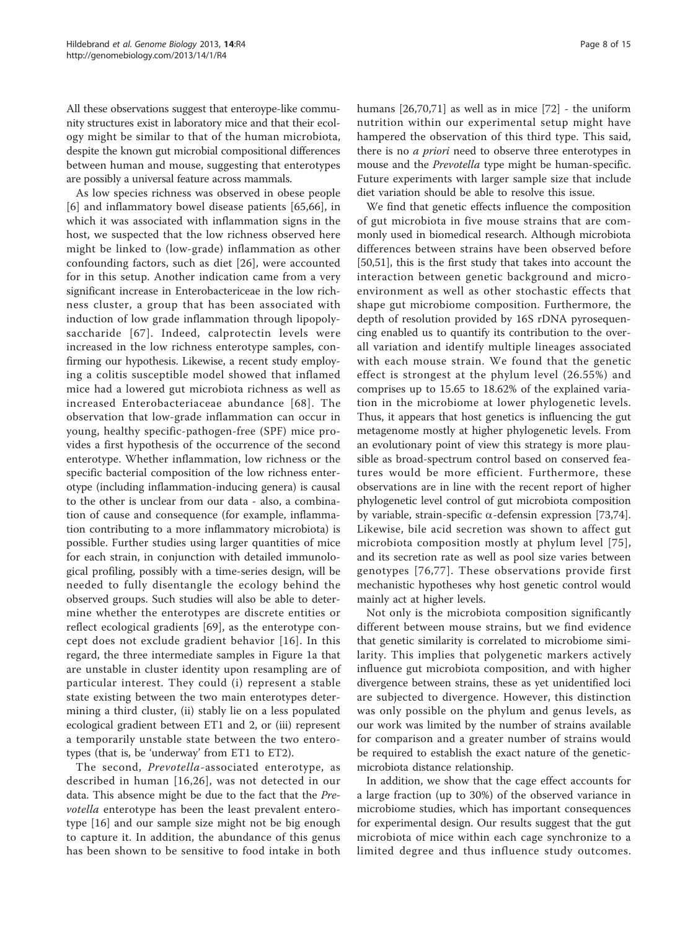All these observations suggest that enteroype-like community structures exist in laboratory mice and that their ecology might be similar to that of the human microbiota, despite the known gut microbial compositional differences between human and mouse, suggesting that enterotypes are possibly a universal feature across mammals.

As low species richness was observed in obese people [[6](#page-11-0)] and inflammatory bowel disease patients [[65,66](#page-13-0)], in which it was associated with inflammation signs in the host, we suspected that the low richness observed here might be linked to (low-grade) inflammation as other confounding factors, such as diet [[26](#page-12-0)], were accounted for in this setup. Another indication came from a very significant increase in Enterobactericeae in the low richness cluster, a group that has been associated with induction of low grade inflammation through lipopolysaccharide [[67\]](#page-13-0). Indeed, calprotectin levels were increased in the low richness enterotype samples, confirming our hypothesis. Likewise, a recent study employing a colitis susceptible model showed that inflamed mice had a lowered gut microbiota richness as well as increased Enterobacteriaceae abundance [[68](#page-13-0)]. The observation that low-grade inflammation can occur in young, healthy specific-pathogen-free (SPF) mice provides a first hypothesis of the occurrence of the second enterotype. Whether inflammation, low richness or the specific bacterial composition of the low richness enterotype (including inflammation-inducing genera) is causal to the other is unclear from our data - also, a combination of cause and consequence (for example, inflammation contributing to a more inflammatory microbiota) is possible. Further studies using larger quantities of mice for each strain, in conjunction with detailed immunological profiling, possibly with a time-series design, will be needed to fully disentangle the ecology behind the observed groups. Such studies will also be able to determine whether the enterotypes are discrete entities or reflect ecological gradients [\[69](#page-13-0)], as the enterotype concept does not exclude gradient behavior [[16](#page-12-0)]. In this regard, the three intermediate samples in Figure [1a](#page-2-0) that are unstable in cluster identity upon resampling are of particular interest. They could (i) represent a stable state existing between the two main enterotypes determining a third cluster, (ii) stably lie on a less populated ecological gradient between ET1 and 2, or (iii) represent a temporarily unstable state between the two enterotypes (that is, be 'underway' from ET1 to ET2).

The second, Prevotella-associated enterotype, as described in human [[16](#page-12-0),[26](#page-12-0)], was not detected in our data. This absence might be due to the fact that the Prevotella enterotype has been the least prevalent enterotype [[16\]](#page-12-0) and our sample size might not be big enough to capture it. In addition, the abundance of this genus has been shown to be sensitive to food intake in both humans [[26,](#page-12-0)[70,71\]](#page-13-0) as well as in mice [\[72](#page-13-0)] - the uniform nutrition within our experimental setup might have hampered the observation of this third type. This said, there is no *a priori* need to observe three enterotypes in mouse and the Prevotella type might be human-specific. Future experiments with larger sample size that include diet variation should be able to resolve this issue.

We find that genetic effects influence the composition of gut microbiota in five mouse strains that are commonly used in biomedical research. Although microbiota differences between strains have been observed before [[50,51\]](#page-13-0), this is the first study that takes into account the interaction between genetic background and microenvironment as well as other stochastic effects that shape gut microbiome composition. Furthermore, the depth of resolution provided by 16S rDNA pyrosequencing enabled us to quantify its contribution to the overall variation and identify multiple lineages associated with each mouse strain. We found that the genetic effect is strongest at the phylum level (26.55%) and comprises up to 15.65 to 18.62% of the explained variation in the microbiome at lower phylogenetic levels. Thus, it appears that host genetics is influencing the gut metagenome mostly at higher phylogenetic levels. From an evolutionary point of view this strategy is more plausible as broad-spectrum control based on conserved features would be more efficient. Furthermore, these observations are in line with the recent report of higher phylogenetic level control of gut microbiota composition by variable, strain-specific  $\alpha$ -defensin expression [\[73,74](#page-13-0)]. Likewise, bile acid secretion was shown to affect gut microbiota composition mostly at phylum level [\[75\]](#page-13-0), and its secretion rate as well as pool size varies between genotypes [[76,77](#page-13-0)]. These observations provide first mechanistic hypotheses why host genetic control would mainly act at higher levels.

Not only is the microbiota composition significantly different between mouse strains, but we find evidence that genetic similarity is correlated to microbiome similarity. This implies that polygenetic markers actively influence gut microbiota composition, and with higher divergence between strains, these as yet unidentified loci are subjected to divergence. However, this distinction was only possible on the phylum and genus levels, as our work was limited by the number of strains available for comparison and a greater number of strains would be required to establish the exact nature of the geneticmicrobiota distance relationship.

In addition, we show that the cage effect accounts for a large fraction (up to 30%) of the observed variance in microbiome studies, which has important consequences for experimental design. Our results suggest that the gut microbiota of mice within each cage synchronize to a limited degree and thus influence study outcomes.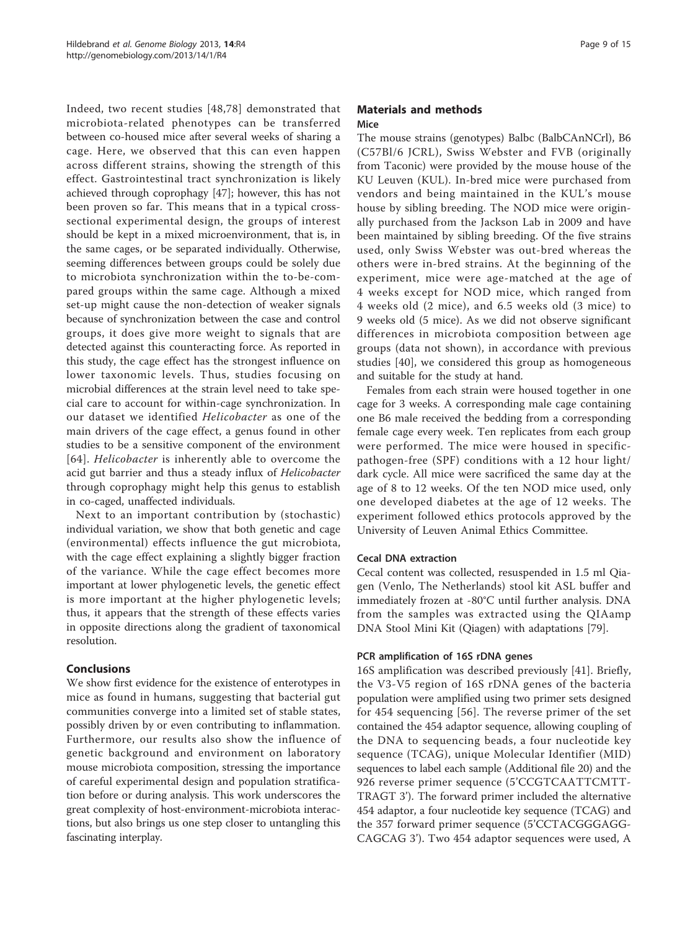Indeed, two recent studies [[48,78](#page-13-0)] demonstrated that microbiota-related phenotypes can be transferred between co-housed mice after several weeks of sharing a cage. Here, we observed that this can even happen across different strains, showing the strength of this effect. Gastrointestinal tract synchronization is likely achieved through coprophagy [\[47](#page-13-0)]; however, this has not been proven so far. This means that in a typical crosssectional experimental design, the groups of interest should be kept in a mixed microenvironment, that is, in the same cages, or be separated individually. Otherwise, seeming differences between groups could be solely due to microbiota synchronization within the to-be-compared groups within the same cage. Although a mixed set-up might cause the non-detection of weaker signals because of synchronization between the case and control groups, it does give more weight to signals that are detected against this counteracting force. As reported in this study, the cage effect has the strongest influence on lower taxonomic levels. Thus, studies focusing on microbial differences at the strain level need to take special care to account for within-cage synchronization. In our dataset we identified Helicobacter as one of the main drivers of the cage effect, a genus found in other studies to be a sensitive component of the environment [[64\]](#page-13-0). Helicobacter is inherently able to overcome the acid gut barrier and thus a steady influx of Helicobacter through coprophagy might help this genus to establish in co-caged, unaffected individuals.

Next to an important contribution by (stochastic) individual variation, we show that both genetic and cage (environmental) effects influence the gut microbiota, with the cage effect explaining a slightly bigger fraction of the variance. While the cage effect becomes more important at lower phylogenetic levels, the genetic effect is more important at the higher phylogenetic levels; thus, it appears that the strength of these effects varies in opposite directions along the gradient of taxonomical resolution.

# Conclusions

We show first evidence for the existence of enterotypes in mice as found in humans, suggesting that bacterial gut communities converge into a limited set of stable states, possibly driven by or even contributing to inflammation. Furthermore, our results also show the influence of genetic background and environment on laboratory mouse microbiota composition, stressing the importance of careful experimental design and population stratification before or during analysis. This work underscores the great complexity of host-environment-microbiota interactions, but also brings us one step closer to untangling this fascinating interplay.

#### Materials and methods **Mice**

The mouse strains (genotypes) Balbc (BalbCAnNCrl), B6 (C57Bl/6 JCRL), Swiss Webster and FVB (originally from Taconic) were provided by the mouse house of the KU Leuven (KUL). In-bred mice were purchased from vendors and being maintained in the KUL's mouse house by sibling breeding. The NOD mice were originally purchased from the Jackson Lab in 2009 and have been maintained by sibling breeding. Of the five strains used, only Swiss Webster was out-bred whereas the others were in-bred strains. At the beginning of the experiment, mice were age-matched at the age of 4 weeks except for NOD mice, which ranged from 4 weeks old (2 mice), and 6.5 weeks old (3 mice) to 9 weeks old (5 mice). As we did not observe significant differences in microbiota composition between age groups (data not shown), in accordance with previous studies [\[40](#page-12-0)], we considered this group as homogeneous and suitable for the study at hand.

Females from each strain were housed together in one cage for 3 weeks. A corresponding male cage containing one B6 male received the bedding from a corresponding female cage every week. Ten replicates from each group were performed. The mice were housed in specificpathogen-free (SPF) conditions with a 12 hour light/ dark cycle. All mice were sacrificed the same day at the age of 8 to 12 weeks. Of the ten NOD mice used, only one developed diabetes at the age of 12 weeks. The experiment followed ethics protocols approved by the University of Leuven Animal Ethics Committee.

# Cecal DNA extraction

Cecal content was collected, resuspended in 1.5 ml Qiagen (Venlo, The Netherlands) stool kit ASL buffer and immediately frozen at -80°C until further analysis. DNA from the samples was extracted using the QIAamp DNA Stool Mini Kit (Qiagen) with adaptations [\[79](#page-13-0)].

# PCR amplification of 16S rDNA genes

16S amplification was described previously [[41\]](#page-12-0). Briefly, the V3-V5 region of 16S rDNA genes of the bacteria population were amplified using two primer sets designed for 454 sequencing [\[56\]](#page-13-0). The reverse primer of the set contained the 454 adaptor sequence, allowing coupling of the DNA to sequencing beads, a four nucleotide key sequence (TCAG), unique Molecular Identifier (MID) sequences to label each sample (Additional file [20\)](#page-11-0) and the 926 reverse primer sequence (5'CCGTCAATTCMTT-TRAGT 3'). The forward primer included the alternative 454 adaptor, a four nucleotide key sequence (TCAG) and the 357 forward primer sequence (5'CCTACGGGAGG-CAGCAG 3'). Two 454 adaptor sequences were used, A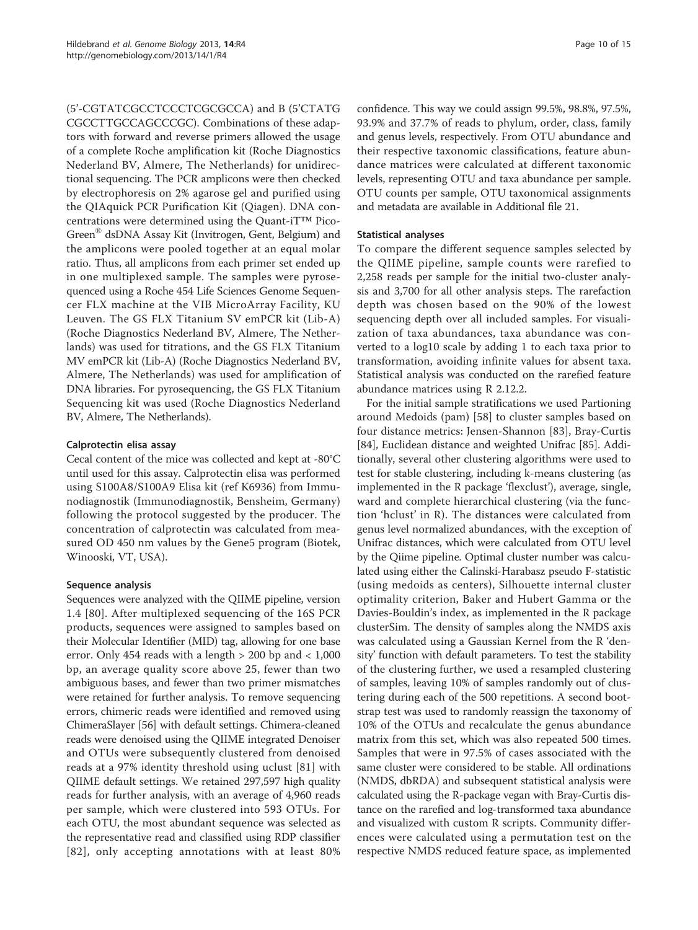(5'-CGTATCGCCTCCCTCGCGCCA) and B (5'CTATG CGCCTTGCCAGCCCGC). Combinations of these adaptors with forward and reverse primers allowed the usage of a complete Roche amplification kit (Roche Diagnostics Nederland BV, Almere, The Netherlands) for unidirectional sequencing. The PCR amplicons were then checked by electrophoresis on 2% agarose gel and purified using the QIAquick PCR Purification Kit (Qiagen). DNA concentrations were determined using the Quant-iT™ Pico-Green® dsDNA Assay Kit (Invitrogen, Gent, Belgium) and the amplicons were pooled together at an equal molar ratio. Thus, all amplicons from each primer set ended up in one multiplexed sample. The samples were pyrosequenced using a Roche 454 Life Sciences Genome Sequencer FLX machine at the VIB MicroArray Facility, KU Leuven. The GS FLX Titanium SV emPCR kit (Lib-A) (Roche Diagnostics Nederland BV, Almere, The Netherlands) was used for titrations, and the GS FLX Titanium MV emPCR kit (Lib-A) (Roche Diagnostics Nederland BV, Almere, The Netherlands) was used for amplification of DNA libraries. For pyrosequencing, the GS FLX Titanium Sequencing kit was used (Roche Diagnostics Nederland BV, Almere, The Netherlands).

# Calprotectin elisa assay

Cecal content of the mice was collected and kept at -80°C until used for this assay. Calprotectin elisa was performed using S100A8/S100A9 Elisa kit (ref K6936) from Immunodiagnostik (Immunodiagnostik, Bensheim, Germany) following the protocol suggested by the producer. The concentration of calprotectin was calculated from measured OD 450 nm values by the Gene5 program (Biotek, Winooski, VT, USA).

# Sequence analysis

Sequences were analyzed with the QIIME pipeline, version 1.4 [[80](#page-13-0)]. After multiplexed sequencing of the 16S PCR products, sequences were assigned to samples based on their Molecular Identifier (MID) tag, allowing for one base error. Only 454 reads with a length  $> 200$  bp and  $< 1,000$ bp, an average quality score above 25, fewer than two ambiguous bases, and fewer than two primer mismatches were retained for further analysis. To remove sequencing errors, chimeric reads were identified and removed using ChimeraSlayer [\[56\]](#page-13-0) with default settings. Chimera-cleaned reads were denoised using the QIIME integrated Denoiser and OTUs were subsequently clustered from denoised reads at a 97% identity threshold using uclust [[81\]](#page-13-0) with QIIME default settings. We retained 297,597 high quality reads for further analysis, with an average of 4,960 reads per sample, which were clustered into 593 OTUs. For each OTU, the most abundant sequence was selected as the representative read and classified using RDP classifier [[82\]](#page-13-0), only accepting annotations with at least 80% confidence. This way we could assign 99.5%, 98.8%, 97.5%, 93.9% and 37.7% of reads to phylum, order, class, family and genus levels, respectively. From OTU abundance and their respective taxonomic classifications, feature abundance matrices were calculated at different taxonomic levels, representing OTU and taxa abundance per sample. OTU counts per sample, OTU taxonomical assignments and metadata are available in Additional file [21.](#page-11-0)

# Statistical analyses

To compare the different sequence samples selected by the QIIME pipeline, sample counts were rarefied to 2,258 reads per sample for the initial two-cluster analysis and 3,700 for all other analysis steps. The rarefaction depth was chosen based on the 90% of the lowest sequencing depth over all included samples. For visualization of taxa abundances, taxa abundance was converted to a log10 scale by adding 1 to each taxa prior to transformation, avoiding infinite values for absent taxa. Statistical analysis was conducted on the rarefied feature abundance matrices using R 2.12.2.

For the initial sample stratifications we used Partioning around Medoids (pam) [[58](#page-13-0)] to cluster samples based on four distance metrics: Jensen-Shannon [[83](#page-14-0)], Bray-Curtis [[84\]](#page-14-0), Euclidean distance and weighted Unifrac [\[85](#page-14-0)]. Additionally, several other clustering algorithms were used to test for stable clustering, including k-means clustering (as implemented in the R package 'flexclust'), average, single, ward and complete hierarchical clustering (via the function 'hclust' in R). The distances were calculated from genus level normalized abundances, with the exception of Unifrac distances, which were calculated from OTU level by the Qiime pipeline. Optimal cluster number was calculated using either the Calinski-Harabasz pseudo F-statistic (using medoids as centers), Silhouette internal cluster optimality criterion, Baker and Hubert Gamma or the Davies-Bouldin's index, as implemented in the R package clusterSim. The density of samples along the NMDS axis was calculated using a Gaussian Kernel from the R 'density' function with default parameters. To test the stability of the clustering further, we used a resampled clustering of samples, leaving 10% of samples randomly out of clustering during each of the 500 repetitions. A second bootstrap test was used to randomly reassign the taxonomy of 10% of the OTUs and recalculate the genus abundance matrix from this set, which was also repeated 500 times. Samples that were in 97.5% of cases associated with the same cluster were considered to be stable. All ordinations (NMDS, dbRDA) and subsequent statistical analysis were calculated using the R-package vegan with Bray-Curtis distance on the rarefied and log-transformed taxa abundance and visualized with custom R scripts. Community differences were calculated using a permutation test on the respective NMDS reduced feature space, as implemented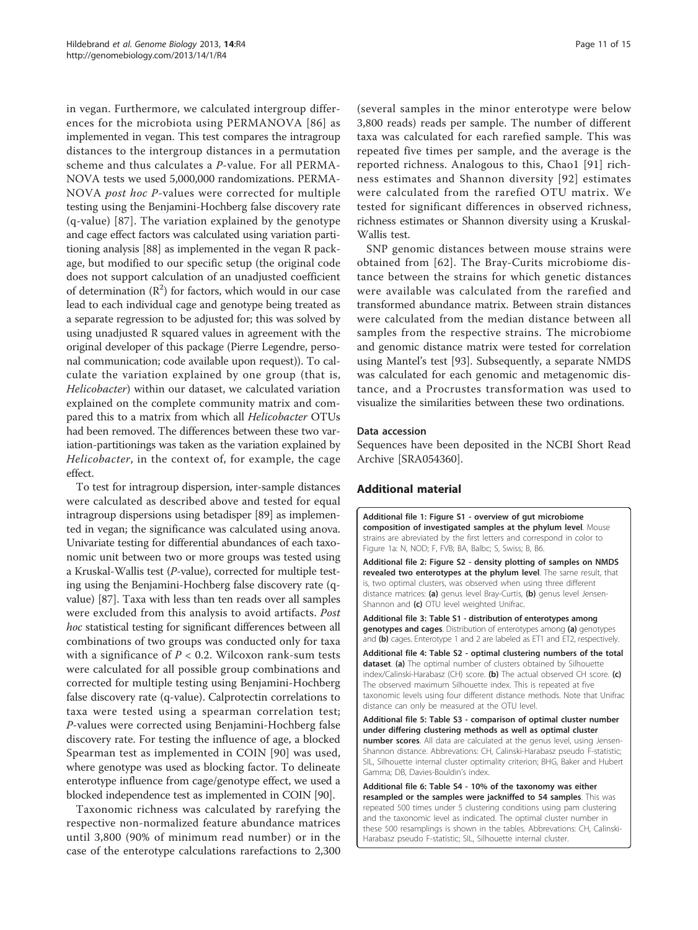<span id="page-10-0"></span>in vegan. Furthermore, we calculated intergroup differences for the microbiota using PERMANOVA [[86](#page-14-0)] as implemented in vegan. This test compares the intragroup distances to the intergroup distances in a permutation scheme and thus calculates a P-value. For all PERMA-NOVA tests we used 5,000,000 randomizations. PERMA-NOVA post hoc P-values were corrected for multiple testing using the Benjamini-Hochberg false discovery rate (q-value) [[87\]](#page-14-0). The variation explained by the genotype and cage effect factors was calculated using variation partitioning analysis [[88\]](#page-14-0) as implemented in the vegan R package, but modified to our specific setup (the original code does not support calculation of an unadjusted coefficient of determination  $(R^2)$  for factors, which would in our case lead to each individual cage and genotype being treated as a separate regression to be adjusted for; this was solved by using unadjusted R squared values in agreement with the original developer of this package (Pierre Legendre, personal communication; code available upon request)). To calculate the variation explained by one group (that is, Helicobacter) within our dataset, we calculated variation explained on the complete community matrix and compared this to a matrix from which all Helicobacter OTUs had been removed. The differences between these two variation-partitionings was taken as the variation explained by Helicobacter, in the context of, for example, the cage effect.

To test for intragroup dispersion, inter-sample distances were calculated as described above and tested for equal intragroup dispersions using betadisper [\[89](#page-14-0)] as implemented in vegan; the significance was calculated using anova. Univariate testing for differential abundances of each taxonomic unit between two or more groups was tested using a Kruskal-Wallis test (P-value), corrected for multiple testing using the Benjamini-Hochberg false discovery rate (qvalue) [[87](#page-14-0)]. Taxa with less than ten reads over all samples were excluded from this analysis to avoid artifacts. Post hoc statistical testing for significant differences between all combinations of two groups was conducted only for taxa with a significance of  $P < 0.2$ . Wilcoxon rank-sum tests were calculated for all possible group combinations and corrected for multiple testing using Benjamini-Hochberg false discovery rate (q-value). Calprotectin correlations to taxa were tested using a spearman correlation test; P-values were corrected using Benjamini-Hochberg false discovery rate. For testing the influence of age, a blocked Spearman test as implemented in COIN [[90](#page-14-0)] was used, where genotype was used as blocking factor. To delineate enterotype influence from cage/genotype effect, we used a blocked independence test as implemented in COIN [\[90\]](#page-14-0).

Taxonomic richness was calculated by rarefying the respective non-normalized feature abundance matrices until 3,800 (90% of minimum read number) or in the case of the enterotype calculations rarefactions to 2,300

(several samples in the minor enterotype were below 3,800 reads) reads per sample. The number of different taxa was calculated for each rarefied sample. This was repeated five times per sample, and the average is the reported richness. Analogous to this, Chao1 [\[91](#page-14-0)] richness estimates and Shannon diversity [[92](#page-14-0)] estimates were calculated from the rarefied OTU matrix. We tested for significant differences in observed richness, richness estimates or Shannon diversity using a Kruskal-Wallis test.

SNP genomic distances between mouse strains were obtained from [[62\]](#page-13-0). The Bray-Curits microbiome distance between the strains for which genetic distances were available was calculated from the rarefied and transformed abundance matrix. Between strain distances were calculated from the median distance between all samples from the respective strains. The microbiome and genomic distance matrix were tested for correlation using Mantel's test [\[93](#page-14-0)]. Subsequently, a separate NMDS was calculated for each genomic and metagenomic distance, and a Procrustes transformation was used to visualize the similarities between these two ordinations.

#### Data accession

Sequences have been deposited in the NCBI Short Read Archive [SRA054360].

#### Additional material

[Additional file 1: F](http://www.biomedcentral.com/content/supplementary/gb-2013-14-1-r4-S1.PDF)igure S1 - overview of gut microbiome composition of investigated samples at the phylum level. Mouse strains are abreviated by the first letters and correspond in color to Figure [1a](#page-2-0): N, NOD; F, FVB; BA, Balbc; S, Swiss; B, B6.

[Additional file 2: F](http://www.biomedcentral.com/content/supplementary/gb-2013-14-1-r4-S2.PDF)igure S2 - density plotting of samples on NMDS revealed two enterotypes at the phylum level. The same result, that is, two optimal clusters, was observed when using three different distance matrices: (a) genus level Bray-Curtis, (b) genus level Jensen-Shannon and (c) OTU level weighted Unifrac.

[Additional file 3: T](http://www.biomedcentral.com/content/supplementary/gb-2013-14-1-r4-S3.XLSX)able S1 - distribution of enterotypes among genotypes and cages. Distribution of enterotypes among (a) genotypes and (b) cages. Enterotype 1 and 2 are labeled as ET1 and ET2, respectively.

[Additional file 4: T](http://www.biomedcentral.com/content/supplementary/gb-2013-14-1-r4-S4.XLSX)able S2 - optimal clustering numbers of the total dataset. (a) The optimal number of clusters obtained by Silhouette index/Calinski-Harabasz (CH) score. (b) The actual observed CH score. (c) The observed maximum Silhouette index. This is repeated at five taxonomic levels using four different distance methods. Note that Unifrac distance can only be measured at the OTU level.

[Additional file 5: T](http://www.biomedcentral.com/content/supplementary/gb-2013-14-1-r4-S5.XLSX)able S3 - comparison of optimal cluster number under differing clustering methods as well as optimal cluster number scores. All data are calculated at the genus level, using Jensen-Shannon distance. Abbrevations: CH, Calinski-Harabasz pseudo F-statistic; SIL, Silhouette internal cluster optimality criterion; BHG, Baker and Hubert Gamma; DB, Davies-Bouldin's index.

[Additional file 6: T](http://www.biomedcentral.com/content/supplementary/gb-2013-14-1-r4-S6.XLSX)able S4 - 10% of the taxonomy was either resampled or the samples were jackniffed to 54 samples. This was repeated 500 times under 5 clustering conditions using pam clustering and the taxonomic level as indicated. The optimal cluster number in these 500 resamplings is shown in the tables. Abbrevations: CH, Calinski-Harabasz pseudo F-statistic; SIL, Silhouette internal cluster.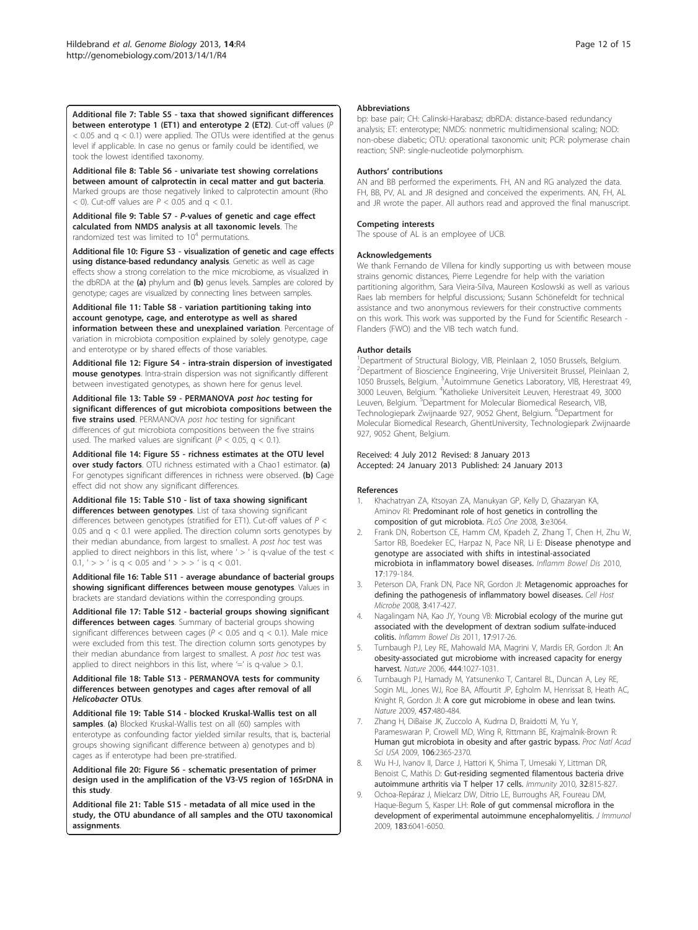<span id="page-11-0"></span>[Additional file 7: T](http://www.biomedcentral.com/content/supplementary/gb-2013-14-1-r4-S7.XLSX)able S5 - taxa that showed significant differences between enterotype 1 (ET1) and enterotype 2 (ET2). Cut-off values (P  $<$  0.05 and  $q <$  0.1) were applied. The OTUs were identified at the genus level if applicable. In case no genus or family could be identified, we took the lowest identified taxonomy.

#### [Additional file 8: T](http://www.biomedcentral.com/content/supplementary/gb-2013-14-1-r4-S8.XLSX)able S6 - univariate test showing correlations between amount of calprotectin in cecal matter and gut bacteria.

Marked groups are those negatively linked to calprotectin amount (Rho  $<$  0). Cut-off values are  $P < 0.05$  and q  $< 0.1$ .

[Additional file 9: T](http://www.biomedcentral.com/content/supplementary/gb-2013-14-1-r4-S9.XLSX)able S7 - P-values of genetic and cage effect calculated from NMDS analysis at all taxonomic levels. The randomized test was limited to  $10<sup>4</sup>$  permutations.

[Additional file 10: F](http://www.biomedcentral.com/content/supplementary/gb-2013-14-1-r4-S10.PDF)igure S3 - visualization of genetic and cage effects using distance-based redundancy analysis. Genetic as well as cage effects show a strong correlation to the mice microbiome, as visualized in the dbRDA at the  $(a)$  phylum and  $(b)$  genus levels. Samples are colored by genotype; cages are visualized by connecting lines between samples.

[Additional file 11: T](http://www.biomedcentral.com/content/supplementary/gb-2013-14-1-r4-S11.XLSX)able S8 - variation partitioning taking into account genotype, cage, and enterotype as well as shared information between these and unexplained variation. Percentage of variation in microbiota composition explained by solely genotype, cage and enterotype or by shared effects of those variables.

[Additional file 12: F](http://www.biomedcentral.com/content/supplementary/gb-2013-14-1-r4-S12.PDF)igure S4 - intra-strain dispersion of investigated mouse genotypes. Intra-strain dispersion was not significantly different between investigated genotypes, as shown here for genus level.

[Additional file 13: T](http://www.biomedcentral.com/content/supplementary/gb-2013-14-1-r4-S13.XLSX)able S9 - PERMANOVA post hoc testing for significant differences of gut microbiota compositions between the five strains used. PERMANOVA post hoc testing for significant differences of gut microbiota compositions between the five strains used. The marked values are significant ( $P < 0.05$ , q < 0.1).

[Additional file 14: F](http://www.biomedcentral.com/content/supplementary/gb-2013-14-1-r4-S14.PDF)igure S5 - richness estimates at the OTU level over study factors. OTU richness estimated with a Chao1 estimator. (a) For genotypes significant differences in richness were observed. (b) Cage effect did not show any significant differences.

[Additional file 15: T](http://www.biomedcentral.com/content/supplementary/gb-2013-14-1-r4-S15.XLSX)able S10 - list of taxa showing significant differences between genotypes. List of taxa showing significant differences between genotypes (stratified for ET1). Cut-off values of P < 0.05 and q < 0.1 were applied. The direction column sorts genotypes by their median abundance, from largest to smallest. A post hoc test was applied to direct neighbors in this list, where ' > ' is g-value of the test < 0.1,  $'$  > >  $'$  is q < 0.05 and  $'$  > >  $>$   $'$  is q < 0.01.

[Additional file 16:](http://www.biomedcentral.com/content/supplementary/gb-2013-14-1-r4-S16.XLSX) Table S11 - average abundance of bacterial groups showing significant differences between mouse genotypes. Values in brackets are standard deviations within the corresponding groups.

[Additional file 17: T](http://www.biomedcentral.com/content/supplementary/gb-2013-14-1-r4-S17.XLSX)able S12 - bacterial groups showing significant differences between cages. Summary of bacterial groups showing significant differences between cages ( $P < 0.05$  and  $q < 0.1$ ). Male mice were excluded from this test. The direction column sorts genotypes by their median abundance from largest to smallest. A post hoc test was applied to direct neighbors in this list, where  $'=$  is q-value  $> 0.1$ .

[Additional file 18: T](http://www.biomedcentral.com/content/supplementary/gb-2013-14-1-r4-S18.XLSX)able S13 - PERMANOVA tests for community differences between genotypes and cages after removal of all Helicobacter OTUs.

[Additional file 19: T](http://www.biomedcentral.com/content/supplementary/gb-2013-14-1-r4-S19.XLSX)able S14 - blocked Kruskal-Wallis test on all samples. (a) Blocked Kruskal-Wallis test on all (60) samples with enterotype as confounding factor yielded similar results, that is, bacterial groups showing significant difference between a) genotypes and b) cages as if enterotype had been pre-stratified.

[Additional file 20: F](http://www.biomedcentral.com/content/supplementary/gb-2013-14-1-r4-S20.PDF)igure S6 - schematic presentation of primer design used in the amplification of the V3-V5 region of 16SrDNA in this study.

[Additional file 21: T](http://www.biomedcentral.com/content/supplementary/gb-2013-14-1-r4-S21.XLSX)able S15 - metadata of all mice used in the study, the OTU abundance of all samples and the OTU taxonomical assignments.

#### Abbreviations

bp: base pair; CH: Calinski-Harabasz; dbRDA: distance-based redundancy analysis; ET: enterotype; NMDS: nonmetric multidimensional scaling; NOD: non-obese diabetic; OTU: operational taxonomic unit; PCR: polymerase chain reaction; SNP: single-nucleotide polymorphism.

#### Authors' contributions

AN and BB performed the experiments. FH, AN and RG analyzed the data. FH, BB, PV, AL and JR designed and conceived the experiments. AN, FH, AL and JR wrote the paper. All authors read and approved the final manuscript.

#### Competing interests

The spouse of AL is an employee of UCB.

#### Acknowledgements

We thank Fernando de Villena for kindly supporting us with between mouse strains genomic distances, Pierre Legendre for help with the variation partitioning algorithm, Sara Vieira-Silva, Maureen Koslowski as well as various Raes lab members for helpful discussions; Susann Schönefeldt for technical assistance and two anonymous reviewers for their constructive comments on this work. This work was supported by the Fund for Scientific Research - Flanders (FWO) and the VIB tech watch fund.

#### Author details

<sup>1</sup>Department of Structural Biology, VIB, Pleinlaan 2, 1050 Brussels, Belgium. <sup>2</sup>Department of Bioscience Engineering, Vrije Universiteit Brussel, Pleinlaan 2, 1050 Brussels, Belgium. <sup>3</sup>Autoimmune Genetics Laboratory, VIB, Herestraat 49, 3000 Leuven, Belgium. <sup>4</sup>Katholieke Universiteit Leuven, Herestraat 49, 3000 Leuven, Belgium.<sup>5</sup> Department for Molecular Biomedical Research, VIB Technologiepark Zwijnaarde 927, 9052 Ghent, Belgium. <sup>6</sup>Department for Molecular Biomedical Research, GhentUniversity, Technologiepark Zwijnaarde 927, 9052 Ghent, Belgium.

#### Received: 4 July 2012 Revised: 8 January 2013 Accepted: 24 January 2013 Published: 24 January 2013

#### References

- 1. Khachatryan ZA, Ktsoyan ZA, Manukyan GP, Kelly D, Ghazaryan KA, Aminov RI: [Predominant role of host genetics in controlling the](http://www.ncbi.nlm.nih.gov/pubmed/18725973?dopt=Abstract) [composition of gut microbiota.](http://www.ncbi.nlm.nih.gov/pubmed/18725973?dopt=Abstract) PLoS One 2008, 3:e3064.
- 2. Frank DN, Robertson CE, Hamm CM, Kpadeh Z, Zhang T, Chen H, Zhu W, Sartor RB, Boedeker EC, Harpaz N, Pace NR, Li E: [Disease phenotype and](http://www.ncbi.nlm.nih.gov/pubmed/20839241?dopt=Abstract) [genotype are associated with shifts in intestinal-associated](http://www.ncbi.nlm.nih.gov/pubmed/20839241?dopt=Abstract) [microbiota in inflammatory bowel diseases.](http://www.ncbi.nlm.nih.gov/pubmed/20839241?dopt=Abstract) Inflamm Bowel Dis 2010, 17:179-184.
- 3. Peterson DA, Frank DN, Pace NR, Gordon JI: [Metagenomic approaches for](http://www.ncbi.nlm.nih.gov/pubmed/18541218?dopt=Abstract) [defining the pathogenesis of inflammatory bowel diseases.](http://www.ncbi.nlm.nih.gov/pubmed/18541218?dopt=Abstract) Cell Host Microbe 2008, 3:417-427.
- 4. Nagalingam NA, Kao JY, Young VB: [Microbial ecology of the murine gut](http://www.ncbi.nlm.nih.gov/pubmed/21391286?dopt=Abstract) [associated with the development of dextran sodium sulfate-induced](http://www.ncbi.nlm.nih.gov/pubmed/21391286?dopt=Abstract) [colitis.](http://www.ncbi.nlm.nih.gov/pubmed/21391286?dopt=Abstract) Inflamm Bowel Dis 2011, 17:917-26.
- Turnbaugh PJ, Ley RE, Mahowald MA, Magrini V, Mardis ER, Gordon JI: [An](http://www.ncbi.nlm.nih.gov/pubmed/17183312?dopt=Abstract) [obesity-associated gut microbiome with increased capacity for energy](http://www.ncbi.nlm.nih.gov/pubmed/17183312?dopt=Abstract) [harvest.](http://www.ncbi.nlm.nih.gov/pubmed/17183312?dopt=Abstract) Nature 2006, 444:1027-1031.
- 6. Turnbaugh PJ, Hamady M, Yatsunenko T, Cantarel BL, Duncan A, Ley RE, Sogin ML, Jones WJ, Roe BA, Affourtit JP, Egholm M, Henrissat B, Heath AC, Knight R, Gordon JI: [A core gut microbiome in obese and lean twins.](http://www.ncbi.nlm.nih.gov/pubmed/19043404?dopt=Abstract) Nature 2009, 457:480-484.
- 7. Zhang H, DiBaise JK, Zuccolo A, Kudrna D, Braidotti M, Yu Y, Parameswaran P, Crowell MD, Wing R, Rittmann BE, Krajmalnik-Brown R: [Human gut microbiota in obesity and after gastric bypass.](http://www.ncbi.nlm.nih.gov/pubmed/19164560?dopt=Abstract) Proc Natl Acad Sci USA 2009, 106:2365-2370.
- 8. Wu H-J, Ivanov II, Darce J, Hattori K, Shima T, Umesaki Y, Littman DR, Benoist C, Mathis D: [Gut-residing segmented filamentous bacteria drive](http://www.ncbi.nlm.nih.gov/pubmed/20620945?dopt=Abstract) [autoimmune arthritis via T helper 17 cells.](http://www.ncbi.nlm.nih.gov/pubmed/20620945?dopt=Abstract) Immunity 2010, 32:815-827.
- 9. Ochoa-Repáraz J, Mielcarz DW, Ditrio LE, Burroughs AR, Foureau DM, Haque-Begum S, Kasper LH: [Role of gut commensal microflora in the](http://www.ncbi.nlm.nih.gov/pubmed/19841183?dopt=Abstract) [development of experimental autoimmune encephalomyelitis.](http://www.ncbi.nlm.nih.gov/pubmed/19841183?dopt=Abstract) J Immunol 2009, 183:6041-6050.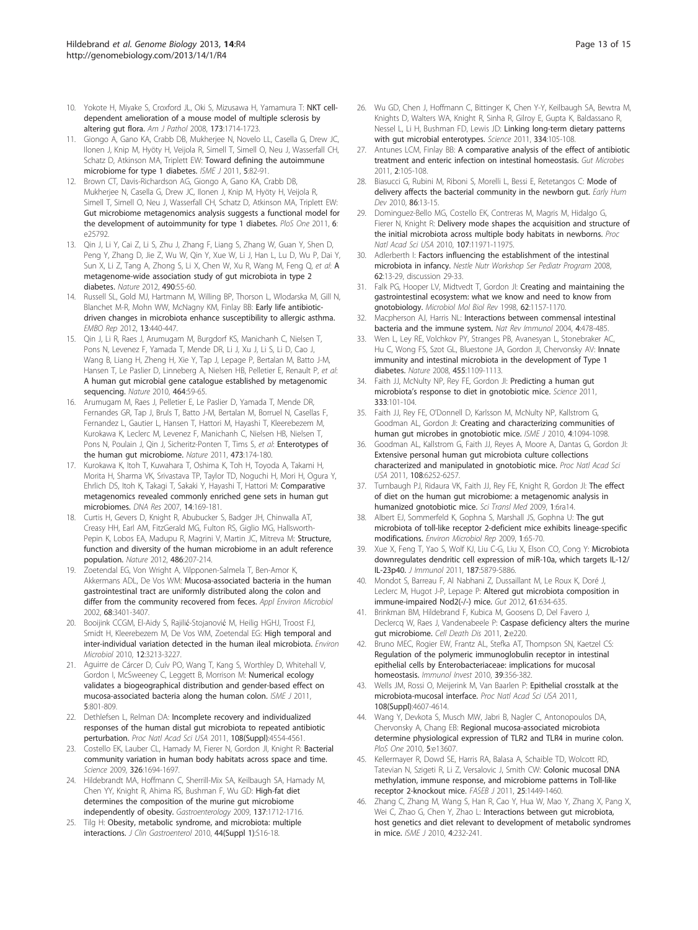- <span id="page-12-0"></span>10. Yokote H, Miyake S, Croxford JL, Oki S, Mizusawa H, Yamamura T: [NKT cell](http://www.ncbi.nlm.nih.gov/pubmed/18974295?dopt=Abstract)[dependent amelioration of a mouse model of multiple sclerosis by](http://www.ncbi.nlm.nih.gov/pubmed/18974295?dopt=Abstract) [altering gut flora.](http://www.ncbi.nlm.nih.gov/pubmed/18974295?dopt=Abstract) Am J Pathol 2008, 173:1714-1723.
- 11. Giongo A, Gano KA, Crabb DB, Mukherjee N, Novelo LL, Casella G, Drew JC, Ilonen J, Knip M, Hyöty H, Veijola R, Simell T, Simell O, Neu J, Wasserfall CH, Schatz D, Atkinson MA, Triplett EW: [Toward defining the autoimmune](http://www.ncbi.nlm.nih.gov/pubmed/20613793?dopt=Abstract) [microbiome for type 1 diabetes.](http://www.ncbi.nlm.nih.gov/pubmed/20613793?dopt=Abstract) ISME J 2011, 5:82-91.
- 12. Brown CT, Davis-Richardson AG, Giongo A, Gano KA, Crabb DB, Mukherjee N, Casella G, Drew JC, Ilonen J, Knip M, Hyöty H, Veijola R, Simell T, Simell O, Neu J, Wasserfall CH, Schatz D, Atkinson MA, Triplett EW: [Gut microbiome metagenomics analysis suggests a functional model for](http://www.ncbi.nlm.nih.gov/pubmed/22043294?dopt=Abstract) [the development of autoimmunity for type 1 diabetes.](http://www.ncbi.nlm.nih.gov/pubmed/22043294?dopt=Abstract) PloS One 2011, 6: e25792.
- 13. Qin J, Li Y, Cai Z, Li S, Zhu J, Zhang F, Liang S, Zhang W, Guan Y, Shen D, Peng Y, Zhang D, Jie Z, Wu W, Qin Y, Xue W, Li J, Han L, Lu D, Wu P, Dai Y, Sun X, Li Z, Tang [A](http://www.ncbi.nlm.nih.gov/pubmed/23023125?dopt=Abstract), Zhong S, Li X, Chen W, Xu R, Wang M, Feng Q, et al: A [metagenome-wide association study of gut microbiota in type 2](http://www.ncbi.nlm.nih.gov/pubmed/23023125?dopt=Abstract) [diabetes.](http://www.ncbi.nlm.nih.gov/pubmed/23023125?dopt=Abstract) Nature 2012, 490:55-60.
- 14. Russell SL, Gold MJ, Hartmann M, Willing BP, Thorson L, Wlodarska M, Gill N, Blanchet M-R, Mohn WW, McNagny KM, Finlay BB: [Early life antibiotic](http://www.ncbi.nlm.nih.gov/pubmed/22422004?dopt=Abstract)[driven changes in microbiota enhance susceptibility to allergic asthma.](http://www.ncbi.nlm.nih.gov/pubmed/22422004?dopt=Abstract) EMBO Rep 2012, 13:440-447.
- 15. Qin J, Li R, Raes J, Arumugam M, Burgdorf KS, Manichanh C, Nielsen T, Pons N, Levenez F, Yamada T, Mende DR, Li J, Xu J, Li S, Li D, Cao J, Wang B, Liang H, Zheng H, Xie Y, Tap J, Lepage P, Bertalan M, Batto J-M, Hansen T, Le Paslier D, Linneberg A, Nielsen HB, Pelletier E, Renault P, et al: [A human gut microbial gene catalogue established by metagenomic](http://www.ncbi.nlm.nih.gov/pubmed/20203603?dopt=Abstract) [sequencing.](http://www.ncbi.nlm.nih.gov/pubmed/20203603?dopt=Abstract) Nature 2010, 464:59-65.
- 16. Arumugam M, Raes J, Pelletier E, Le Paslier D, Yamada T, Mende DR, Fernandes GR, Tap J, Bruls T, Batto J-M, Bertalan M, Borruel N, Casellas F, Fernandez L, Gautier L, Hansen T, Hattori M, Hayashi T, Kleerebezem M, Kurokawa K, Leclerc M, Levenez F, Manichanh C, Nielsen HB, Nielsen T, Pons N, Poulain J, Qin J, Sicheritz-Ponten T, Tims S, et al: [Enterotypes of](http://www.ncbi.nlm.nih.gov/pubmed/21508958?dopt=Abstract) [the human gut microbiome.](http://www.ncbi.nlm.nih.gov/pubmed/21508958?dopt=Abstract) Nature 2011, 473:174-180.
- Kurokawa K, Itoh T, Kuwahara T, Oshima K, Toh H, Toyoda A, Takami H, Morita H, Sharma VK, Srivastava TP, Taylor TD, Noguchi H, Mori H, Ogura Y, Ehrlich DS, Itoh K, Takagi T, Sakaki Y, Hayashi T, Hattori M: [Comparative](http://www.ncbi.nlm.nih.gov/pubmed/17916580?dopt=Abstract) [metagenomics revealed commonly enriched gene sets in human gut](http://www.ncbi.nlm.nih.gov/pubmed/17916580?dopt=Abstract) [microbiomes.](http://www.ncbi.nlm.nih.gov/pubmed/17916580?dopt=Abstract) DNA Res 2007, 14:169-181.
- 18. Curtis H, Gevers D, Knight R, Abubucker S, Badger JH, Chinwalla AT, Creasy HH, Earl AM, FitzGerald MG, Fulton RS, Giglio MG, Hallsworth-Pepin K, Lobos EA, Madupu R, Magrini V, Martin JC, Mitreva M: [Structure,](http://www.ncbi.nlm.nih.gov/pubmed/22699609?dopt=Abstract) [function and diversity of the human microbiome in an adult reference](http://www.ncbi.nlm.nih.gov/pubmed/22699609?dopt=Abstract) [population.](http://www.ncbi.nlm.nih.gov/pubmed/22699609?dopt=Abstract) Nature 2012, 486:207-214.
- 19. Zoetendal EG, Von Wright A, Vilpponen-Salmela T, Ben-Amor K, Akkermans ADL, De Vos WM: [Mucosa-associated bacteria in the human](http://www.ncbi.nlm.nih.gov/pubmed/12089021?dopt=Abstract) [gastrointestinal tract are uniformly distributed along the colon and](http://www.ncbi.nlm.nih.gov/pubmed/12089021?dopt=Abstract) [differ from the community recovered from feces.](http://www.ncbi.nlm.nih.gov/pubmed/12089021?dopt=Abstract) Appl Environ Microbiol 2002, 68:3401-3407.
- 20. Booijink CCGM, El-Aidy S, Rajilić-Stojanović M, Heilig HGHJ, Troost FJ, Smidt H, Kleerebezem M, De Vos WM, Zoetendal EG: [High temporal and](http://www.ncbi.nlm.nih.gov/pubmed/20626454?dopt=Abstract) [inter-individual variation detected in the human ileal microbiota.](http://www.ncbi.nlm.nih.gov/pubmed/20626454?dopt=Abstract) Environ Microbiol 2010, 12:3213-3227.
- 21. Aguirre de Cárcer D, Cuív PO, Wang T, Kang S, Worthley D, Whitehall V, Gordon I, McSweeney C, Leggett B, Morrison M: [Numerical ecology](http://www.ncbi.nlm.nih.gov/pubmed/21124491?dopt=Abstract) [validates a biogeographical distribution and gender-based effect on](http://www.ncbi.nlm.nih.gov/pubmed/21124491?dopt=Abstract) [mucosa-associated bacteria along the human colon.](http://www.ncbi.nlm.nih.gov/pubmed/21124491?dopt=Abstract) ISME J 2011, 5:801-809.
- 22. Dethlefsen L, Relman DA: [Incomplete recovery and individualized](http://www.ncbi.nlm.nih.gov/pubmed/20847294?dopt=Abstract) [responses of the human distal gut microbiota to repeated antibiotic](http://www.ncbi.nlm.nih.gov/pubmed/20847294?dopt=Abstract) [perturbation.](http://www.ncbi.nlm.nih.gov/pubmed/20847294?dopt=Abstract) Proc Natl Acad Sci USA 2011, 108(Suppl):4554-4561.
- 23. Costello EK, Lauber CL, Hamady M, Fierer N, Gordon JI, Knight R: [Bacterial](http://www.ncbi.nlm.nih.gov/pubmed/19892944?dopt=Abstract) [community variation in human body habitats across space and time.](http://www.ncbi.nlm.nih.gov/pubmed/19892944?dopt=Abstract) Science 2009, 326:1694-1697.
- 24. Hildebrandt MA, Hoffmann C, Sherrill-Mix SA, Keilbaugh SA, Hamady M, Chen YY, Knight R, Ahima RS, Bushman F, Wu GD: High-fat diet determines the composition of the murine gut microbiome independently of obesity. Gastroenterology 2009, 137:1712-1716.
- 25. Tilg H: [Obesity, metabolic syndrome, and microbiota: multiple](http://www.ncbi.nlm.nih.gov/pubmed/20535027?dopt=Abstract) [interactions.](http://www.ncbi.nlm.nih.gov/pubmed/20535027?dopt=Abstract) J Clin Gastroenterol 2010, 44(Suppl 1):S16-18.
- 26. Wu GD, Chen J, Hoffmann C, Bittinger K, Chen Y-Y, Keilbaugh SA, Bewtra M, Knights D, Walters WA, Knight R, Sinha R, Gilroy E, Gupta K, Baldassano R, Nessel L, Li H, Bushman FD, Lewis JD: [Linking long-term dietary patterns](http://www.ncbi.nlm.nih.gov/pubmed/21885731?dopt=Abstract) [with gut microbial enterotypes.](http://www.ncbi.nlm.nih.gov/pubmed/21885731?dopt=Abstract) Science 2011, 334:105-108.
- 27. Antunes LCM, Finlay BB: [A comparative analysis of the effect of antibiotic](http://www.ncbi.nlm.nih.gov/pubmed/21637027?dopt=Abstract) [treatment and enteric infection on intestinal homeostasis.](http://www.ncbi.nlm.nih.gov/pubmed/21637027?dopt=Abstract) Gut Microbes 2011, 2:105-108.
- 28. Biasucci G, Rubini M, Riboni S, Morelli L, Bessi E, Retetangos C: [Mode of](http://www.ncbi.nlm.nih.gov/pubmed/20133091?dopt=Abstract) [delivery affects the bacterial community in the newborn gut.](http://www.ncbi.nlm.nih.gov/pubmed/20133091?dopt=Abstract) Early Hum Dev 2010, 86:13-15.
- 29. Dominguez-Bello MG, Costello EK, Contreras M, Magris M, Hidalgo G, Fierer N, Knight R: [Delivery mode shapes the acquisition and structure of](http://www.ncbi.nlm.nih.gov/pubmed/20566857?dopt=Abstract) [the initial microbiota across multiple body habitats in newborns.](http://www.ncbi.nlm.nih.gov/pubmed/20566857?dopt=Abstract) Proc Natl Acad Sci USA 2010, 107:11971-11975.
- 30. Adlerberth I: [Factors influencing the establishment of the intestinal](http://www.ncbi.nlm.nih.gov/pubmed/18626190?dopt=Abstract) [microbiota in infancy.](http://www.ncbi.nlm.nih.gov/pubmed/18626190?dopt=Abstract) Nestle Nutr Workshop Ser Pediatr Program 2008, 62:13-29, discussion 29-33.
- 31. Falk PG, Hooper LV, Midtvedt T, Gordon JI: [Creating and maintaining the](http://www.ncbi.nlm.nih.gov/pubmed/9841668?dopt=Abstract) [gastrointestinal ecosystem: what we know and need to know from](http://www.ncbi.nlm.nih.gov/pubmed/9841668?dopt=Abstract) [gnotobiology.](http://www.ncbi.nlm.nih.gov/pubmed/9841668?dopt=Abstract) Microbiol Mol Biol Rev 1998, 62:1157-1170.
- 32. Macpherson AJ, Harris NL: [Interactions between commensal intestinal](http://www.ncbi.nlm.nih.gov/pubmed/15173836?dopt=Abstract) [bacteria and the immune system.](http://www.ncbi.nlm.nih.gov/pubmed/15173836?dopt=Abstract) Nat Rev Immunol 2004, 4:478-485.
- 33. Wen L, Ley RE, Volchkov PY, Stranges PB, Avanesyan L, Stonebraker AC, Hu C, Wong FS, Szot GL, Bluestone JA, Gordon JI, Chervonsky AV: [Innate](http://www.ncbi.nlm.nih.gov/pubmed/18806780?dopt=Abstract) [immunity and intestinal microbiota in the development of Type 1](http://www.ncbi.nlm.nih.gov/pubmed/18806780?dopt=Abstract) [diabetes.](http://www.ncbi.nlm.nih.gov/pubmed/18806780?dopt=Abstract) Nature 2008, 455:1109-1113.
- 34. Faith JJ, McNulty NP, Rey FE, Gordon JI: [Predicting a human gut](http://www.ncbi.nlm.nih.gov/pubmed/21596954?dopt=Abstract) microbiota'[s response to diet in gnotobiotic mice.](http://www.ncbi.nlm.nih.gov/pubmed/21596954?dopt=Abstract) Science 2011, 333:101-104.
- 35. Faith JJ, Rey FE, O'Donnell D, Karlsson M, McNulty NP, Kallstrom G, Goodman AL, Gordon JI: [Creating and characterizing communities of](http://www.ncbi.nlm.nih.gov/pubmed/20664551?dopt=Abstract) [human gut microbes in gnotobiotic mice.](http://www.ncbi.nlm.nih.gov/pubmed/20664551?dopt=Abstract) ISME J 2010, 4:1094-1098.
- 36. Goodman AL, Kallstrom G, Faith JJ, Reyes A, Moore A, Dantas G, Gordon JI: [Extensive personal human gut microbiota culture collections](http://www.ncbi.nlm.nih.gov/pubmed/21436049?dopt=Abstract) [characterized and manipulated in gnotobiotic mice.](http://www.ncbi.nlm.nih.gov/pubmed/21436049?dopt=Abstract) Proc Natl Acad Sci USA 2011, 108:6252-6257.
- 37. Turnbaugh PJ, Ridaura VK, Faith JJ, Rey FE, Knight R, Gordon JI: [The effect](http://www.ncbi.nlm.nih.gov/pubmed/20368178?dopt=Abstract) [of diet on the human gut microbiome: a metagenomic analysis in](http://www.ncbi.nlm.nih.gov/pubmed/20368178?dopt=Abstract) [humanized gnotobiotic mice.](http://www.ncbi.nlm.nih.gov/pubmed/20368178?dopt=Abstract) Sci Transl Med 2009, 1:6ra14.
- Albert EJ, Sommerfeld K, Gophna S, Marshall JS, Gophna U: The gut microbiota of toll-like receptor 2-deficient mice exhibits lineage-specific modifications. Environ Microbiol Rep 2009, 1:65-70.
- 39. Xue X, Feng T, Yao S, Wolf KJ, Liu C-G, Liu X, Elson CO, Cong Y: [Microbiota](http://www.ncbi.nlm.nih.gov/pubmed/22068236?dopt=Abstract) [downregulates dendritic cell expression of miR-10a, which targets IL-12/](http://www.ncbi.nlm.nih.gov/pubmed/22068236?dopt=Abstract) [IL-23p40.](http://www.ncbi.nlm.nih.gov/pubmed/22068236?dopt=Abstract) J Immunol 2011, 187:5879-5886.
- 40. Mondot S, Barreau F, Al Nabhani Z, Dussaillant M, Le Roux K, Doré J, Leclerc M, Hugot J-P, Lepage P: [Altered gut microbiota composition in](http://www.ncbi.nlm.nih.gov/pubmed/21868489?dopt=Abstract) [immune-impaired Nod2\(-/-\) mice.](http://www.ncbi.nlm.nih.gov/pubmed/21868489?dopt=Abstract) Gut 2012, 61:634-635.
- 41. Brinkman BM, Hildebrand F, Kubica M, Goosens D, Del Favero J, Declercq W, Raes J, Vandenabeele P: [Caspase deficiency alters the murine](http://www.ncbi.nlm.nih.gov/pubmed/22012254?dopt=Abstract) [gut microbiome.](http://www.ncbi.nlm.nih.gov/pubmed/22012254?dopt=Abstract) Cell Death Dis 2011, 2:e220.
- 42. Bruno MEC, Rogier EW, Frantz AL, Stefka AT, Thompson SN, Kaetzel CS: [Regulation of the polymeric immunoglobulin receptor in intestinal](http://www.ncbi.nlm.nih.gov/pubmed/20450283?dopt=Abstract) [epithelial cells by Enterobacteriaceae: implications for mucosal](http://www.ncbi.nlm.nih.gov/pubmed/20450283?dopt=Abstract) [homeostasis.](http://www.ncbi.nlm.nih.gov/pubmed/20450283?dopt=Abstract) Immunol Invest 2010, 39:356-382.
- 43. Wells JM, Rossi O, Meijerink M, Van Baarlen P: [Epithelial crosstalk at the](http://www.ncbi.nlm.nih.gov/pubmed/20826446?dopt=Abstract) [microbiota-mucosal interface.](http://www.ncbi.nlm.nih.gov/pubmed/20826446?dopt=Abstract) Proc Natl Acad Sci USA 2011, 108(Suppl):4607-4614.
- 44. Wang Y, Devkota S, Musch MW, Jabri B, Nagler C, Antonopoulos DA, Chervonsky A, Chang EB: [Regional mucosa-associated microbiota](http://www.ncbi.nlm.nih.gov/pubmed/21042588?dopt=Abstract) [determine physiological expression of TLR2 and TLR4 in murine colon.](http://www.ncbi.nlm.nih.gov/pubmed/21042588?dopt=Abstract) PloS One 2010, 5:e13607.
- 45. Kellermayer R, Dowd SE, Harris RA, Balasa A, Schaible TD, Wolcott RD, Tatevian N, Szigeti R, Li Z, Versalovic J, Smith CW: [Colonic mucosal DNA](http://www.ncbi.nlm.nih.gov/pubmed/21228220?dopt=Abstract) [methylation, immune response, and microbiome patterns in Toll-like](http://www.ncbi.nlm.nih.gov/pubmed/21228220?dopt=Abstract) [receptor 2-knockout mice.](http://www.ncbi.nlm.nih.gov/pubmed/21228220?dopt=Abstract) FASEB J 2011, 25:1449-1460.
- 46. Zhang C, Zhang M, Wang S, Han R, Cao Y, Hua W, Mao Y, Zhang X, Pang X, Wei C, Zhao G, Chen Y, Zhao L: [Interactions between gut microbiota,](http://www.ncbi.nlm.nih.gov/pubmed/19865183?dopt=Abstract) [host genetics and diet relevant to development of metabolic syndromes](http://www.ncbi.nlm.nih.gov/pubmed/19865183?dopt=Abstract) [in mice.](http://www.ncbi.nlm.nih.gov/pubmed/19865183?dopt=Abstract) ISME J 2010, 4:232-241.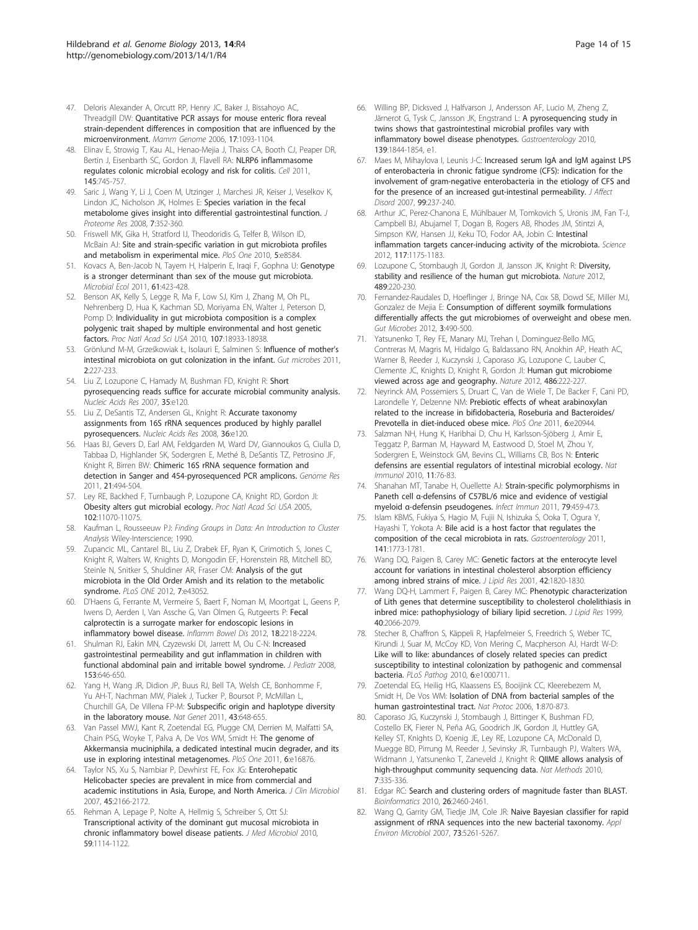- <span id="page-13-0"></span>47. Deloris Alexander A, Orcutt RP, Henry JC, Baker J, Bissahoyo AC, Threadgill DW: [Quantitative PCR assays for mouse enteric flora reveal](http://www.ncbi.nlm.nih.gov/pubmed/17091319?dopt=Abstract) [strain-dependent differences in composition that are influenced by the](http://www.ncbi.nlm.nih.gov/pubmed/17091319?dopt=Abstract) [microenvironment.](http://www.ncbi.nlm.nih.gov/pubmed/17091319?dopt=Abstract) Mamm Genome 2006, 17:1093-1104.
- 48. Elinav E, Strowig T, Kau AL, Henao-Mejia J, Thaiss CA, Booth CJ, Peaper DR, Bertin J, Eisenbarth SC, Gordon JI, Flavell RA: [NLRP6 inflammasome](http://www.ncbi.nlm.nih.gov/pubmed/21565393?dopt=Abstract) [regulates colonic microbial ecology and risk for colitis.](http://www.ncbi.nlm.nih.gov/pubmed/21565393?dopt=Abstract) Cell 2011, 145:745-757.
- 49. Saric J, Wang Y, Li J, Coen M, Utzinger J, Marchesi JR, Keiser J, Veselkov K, Lindon JC, Nicholson JK, Holmes E: [Species variation in the fecal](http://www.ncbi.nlm.nih.gov/pubmed/18052033?dopt=Abstract) [metabolome gives insight into differential gastrointestinal function.](http://www.ncbi.nlm.nih.gov/pubmed/18052033?dopt=Abstract) J Proteome Res 2008, 7:352-360.
- 50. Friswell MK, Gika H, Stratford IJ, Theodoridis G, Telfer B, Wilson ID, McBain AJ: [Site and strain-specific variation in gut microbiota profiles](http://www.ncbi.nlm.nih.gov/pubmed/20052418?dopt=Abstract) [and metabolism in experimental mice.](http://www.ncbi.nlm.nih.gov/pubmed/20052418?dopt=Abstract) PloS One 2010, 5:e8584.
- 51. Kovacs A, Ben-Jacob N, Tayem H, Halperin E, Iraqi F, Gophna U: Genotype is a stronger determinant than sex of the mouse gut microbiota. Microbial Ecol 2011, 61:423-428.
- 52. Benson AK, Kelly S, Legge R, Ma F, Low SJ, Kim J, Zhang M, Oh PL, Nehrenberg D, Hua K, Kachman SD, Moriyama EN, Walter J, Peterson D, Pomp D: [Individuality in gut microbiota composition is a complex](http://www.ncbi.nlm.nih.gov/pubmed/20937875?dopt=Abstract) [polygenic trait shaped by multiple environmental and host genetic](http://www.ncbi.nlm.nih.gov/pubmed/20937875?dopt=Abstract) [factors.](http://www.ncbi.nlm.nih.gov/pubmed/20937875?dopt=Abstract) Proc Natl Acad Sci USA 2010, 107:18933-18938.
- 53. Grönlund M-M, Grześkowiak Ł, Isolauri E, Salminen S: [Influence of mother](http://www.ncbi.nlm.nih.gov/pubmed/21983067?dopt=Abstract)'s [intestinal microbiota on gut colonization in the infant.](http://www.ncbi.nlm.nih.gov/pubmed/21983067?dopt=Abstract) Gut microbes 2011, 2:227-233.
- 54. Liu Z, Lozupone C, Hamady M, Bushman FD, Knight R: [Short](http://www.ncbi.nlm.nih.gov/pubmed/17881377?dopt=Abstract) [pyrosequencing reads suffice for accurate microbial community analysis.](http://www.ncbi.nlm.nih.gov/pubmed/17881377?dopt=Abstract) Nucleic Acids Res 2007, 35:e120.
- 55. Liu Z, DeSantis TZ, Andersen GL, Knight R: [Accurate taxonomy](http://www.ncbi.nlm.nih.gov/pubmed/18723574?dopt=Abstract) [assignments from 16S rRNA sequences produced by highly parallel](http://www.ncbi.nlm.nih.gov/pubmed/18723574?dopt=Abstract) [pyrosequencers.](http://www.ncbi.nlm.nih.gov/pubmed/18723574?dopt=Abstract) Nucleic Acids Res 2008, 36:e120.
- 56. Haas BJ, Gevers D, Earl AM, Feldgarden M, Ward DV, Giannoukos G, Ciulla D, Tabbaa D, Highlander SK, Sodergren E, Methé B, DeSantis TZ, Petrosino JF, Knight R, Birren BW: [Chimeric 16S rRNA sequence formation and](http://www.ncbi.nlm.nih.gov/pubmed/21212162?dopt=Abstract) [detection in Sanger and 454-pyrosequenced PCR amplicons.](http://www.ncbi.nlm.nih.gov/pubmed/21212162?dopt=Abstract) Genome Res 2011, 21:494-504.
- 57. Ley RE, Backhed F, Turnbaugh P, Lozupone CA, Knight RD, Gordon JI: [Obesity alters gut microbial ecology.](http://www.ncbi.nlm.nih.gov/pubmed/16033867?dopt=Abstract) Proc Natl Acad Sci USA 2005, 102:11070-11075.
- 58. Kaufman L, Rousseeuw PJ: Finding Groups in Data: An Introduction to Cluster Analysis Wiley-Interscience; 1990.
- 59. Zupancic ML, Cantarel BL, Liu Z, Drabek EF, Ryan K, Cirimotich S, Jones C, Knight R, Walters W, Knights D, Mongodin EF, Horenstein RB, Mitchell BD, Steinle N, Snitker S, Shuldiner AR, Fraser CM: [Analysis of the gut](http://www.ncbi.nlm.nih.gov/pubmed/22905200?dopt=Abstract) [microbiota in the Old Order Amish and its relation to the metabolic](http://www.ncbi.nlm.nih.gov/pubmed/22905200?dopt=Abstract) [syndrome.](http://www.ncbi.nlm.nih.gov/pubmed/22905200?dopt=Abstract) PLoS ONE 2012, 7:e43052.
- 60. D'Haens G, Ferrante M, Vermeire S, Baert F, Noman M, Moortgat L, Geens P, Iwens D, Aerden I, Van Assche G, Van Olmen G, Rutgeerts P: [Fecal](http://www.ncbi.nlm.nih.gov/pubmed/22344983?dopt=Abstract) [calprotectin is a surrogate marker for endoscopic lesions in](http://www.ncbi.nlm.nih.gov/pubmed/22344983?dopt=Abstract) [inflammatory bowel disease.](http://www.ncbi.nlm.nih.gov/pubmed/22344983?dopt=Abstract) Inflamm Bowel Dis 2012, 18:2218-2224.
- 61. Shulman RJ, Eakin MN, Czyzewski DI, Jarrett M, Ou C-N: [Increased](http://www.ncbi.nlm.nih.gov/pubmed/18538790?dopt=Abstract) [gastrointestinal permeability and gut inflammation in children with](http://www.ncbi.nlm.nih.gov/pubmed/18538790?dopt=Abstract) [functional abdominal pain and irritable bowel syndrome.](http://www.ncbi.nlm.nih.gov/pubmed/18538790?dopt=Abstract) J Pediatr 2008, 153:646-650.
- 62. Yang H, Wang JR, Didion JP, Buus RJ, Bell TA, Welsh CE, Bonhomme F, Yu AH-T, Nachman MW, Pialek J, Tucker P, Boursot P, McMillan L, Churchill GA, De Villena FP-M: [Subspecific origin and haplotype diversity](http://www.ncbi.nlm.nih.gov/pubmed/21623374?dopt=Abstract) [in the laboratory mouse.](http://www.ncbi.nlm.nih.gov/pubmed/21623374?dopt=Abstract) Nat Genet 2011, 43:648-655.
- 63. Van Passel MWJ, Kant R, Zoetendal EG, Plugge CM, Derrien M, Malfatti SA, Chain PSG, Woyke T, Palva A, De Vos WM, Smidt H: [The genome of](http://www.ncbi.nlm.nih.gov/pubmed/21390229?dopt=Abstract) [Akkermansia muciniphila, a dedicated intestinal mucin degrader, and its](http://www.ncbi.nlm.nih.gov/pubmed/21390229?dopt=Abstract) [use in exploring intestinal metagenomes.](http://www.ncbi.nlm.nih.gov/pubmed/21390229?dopt=Abstract) PloS One 2011, 6:e16876.
- 64. Taylor NS, Xu S, Nambiar P, Dewhirst FE, Fox JG: [Enterohepatic](http://www.ncbi.nlm.nih.gov/pubmed/17507523?dopt=Abstract) [Helicobacter species are prevalent in mice from commercial and](http://www.ncbi.nlm.nih.gov/pubmed/17507523?dopt=Abstract) [academic institutions in Asia, Europe, and North America.](http://www.ncbi.nlm.nih.gov/pubmed/17507523?dopt=Abstract) J Clin Microbiol 2007, 45:2166-2172.
- 65. Rehman A, Lepage P, Nolte A, Hellmig S, Schreiber S, Ott SJ: [Transcriptional activity of the dominant gut mucosal microbiota in](http://www.ncbi.nlm.nih.gov/pubmed/20522625?dopt=Abstract) [chronic inflammatory bowel disease patients.](http://www.ncbi.nlm.nih.gov/pubmed/20522625?dopt=Abstract) J Med Microbiol 2010, 59:1114-1122.
- 66. Willing BP, Dicksved J, Halfvarson J, Andersson AF, Lucio M, Zheng Z, Järnerot G, Tysk C, Jansson JK, Engstrand L: [A pyrosequencing study in](http://www.ncbi.nlm.nih.gov/pubmed/20816835?dopt=Abstract) [twins shows that gastrointestinal microbial profiles vary with](http://www.ncbi.nlm.nih.gov/pubmed/20816835?dopt=Abstract) [inflammatory bowel disease phenotypes.](http://www.ncbi.nlm.nih.gov/pubmed/20816835?dopt=Abstract) Gastroenterology 2010, 139:1844-1854, e1.
- 67. Maes M, Mihaylova I, Leunis J-C: [Increased serum IgA and IgM against LPS](http://www.ncbi.nlm.nih.gov/pubmed/17007934?dopt=Abstract) [of enterobacteria in chronic fatigue syndrome \(CFS\): indication for the](http://www.ncbi.nlm.nih.gov/pubmed/17007934?dopt=Abstract) [involvement of gram-negative enterobacteria in the etiology of CFS and](http://www.ncbi.nlm.nih.gov/pubmed/17007934?dopt=Abstract) [for the presence of an increased gut-intestinal permeability.](http://www.ncbi.nlm.nih.gov/pubmed/17007934?dopt=Abstract) J Affect Disord 2007, 99:237-240.
- 68. Arthur JC, Perez-Chanona E, Mühlbauer M, Tomkovich S, Uronis JM, Fan T-J, Campbell BJ, Abujamel T, Dogan B, Rogers AB, Rhodes JM, Stintzi A, Simpson KW, Hansen JJ, Keku TO, Fodor AA, Jobin C: Intestinal inflammation targets cancer-inducing activity of the microbiota. Science 2012, 117:1175-1183.
- 69. Lozupone C, Stombaugh JI, Gordon JI, Jansson JK, Knight R: [Diversity,](http://www.ncbi.nlm.nih.gov/pubmed/22972295?dopt=Abstract) [stability and resilience of the human gut microbiota.](http://www.ncbi.nlm.nih.gov/pubmed/22972295?dopt=Abstract) Nature 2012, 489:220-230.
- 70. Fernandez-Raudales D, Hoeflinger J, Bringe NA, Cox SB, Dowd SE, Miller MJ, Gonzalez de Mejia E: [Consumption of different soymilk formulations](http://www.ncbi.nlm.nih.gov/pubmed/22895080?dopt=Abstract) [differentially affects the gut microbiomes of overweight and obese men.](http://www.ncbi.nlm.nih.gov/pubmed/22895080?dopt=Abstract) Gut Microbes 2012, 3:490-500.
- 71. Yatsunenko T, Rey FE, Manary MJ, Trehan I, Dominguez-Bello MG, Contreras M, Magris M, Hidalgo G, Baldassano RN, Anokhin AP, Heath AC, Warner B, Reeder J, Kuczynski J, Caporaso JG, Lozupone C, Lauber C, Clemente JC, Knights D, Knight R, Gordon JI: [Human gut microbiome](http://www.ncbi.nlm.nih.gov/pubmed/22699611?dopt=Abstract) [viewed across age and geography.](http://www.ncbi.nlm.nih.gov/pubmed/22699611?dopt=Abstract) Nature 2012, 486:222-227.
- 72. Neyrinck AM, Possemiers S, Druart C, Van de Wiele T, De Backer F, Cani PD, Larondelle Y, Delzenne NM: [Prebiotic effects of wheat arabinoxylan](http://www.ncbi.nlm.nih.gov/pubmed/21695273?dopt=Abstract) related to [the increase in bifidobacteria, Roseburia and Bacteroides/](http://www.ncbi.nlm.nih.gov/pubmed/21695273?dopt=Abstract) [Prevotella in diet-induced obese mice.](http://www.ncbi.nlm.nih.gov/pubmed/21695273?dopt=Abstract) PloS One 2011, 6:e20944.
- Salzman NH, Hung K, Haribhai D, Chu H, Karlsson-Sjöberg J, Amir E, Teggatz P, Barman M, Hayward M, Eastwood D, Stoel M, Zhou Y, Sodergren E, Weinstock GM, Bevins CL, Williams CB, Bos N: [Enteric](http://www.ncbi.nlm.nih.gov/pubmed/19855381?dopt=Abstract) [defensins are essential regulators of intestinal microbial ecology.](http://www.ncbi.nlm.nih.gov/pubmed/19855381?dopt=Abstract) Nat Immunol 2010, 11:76-83.
- 74. Shanahan MT, Tanabe H, Ouellette AJ: [Strain-specific polymorphisms in](http://www.ncbi.nlm.nih.gov/pubmed/21041494?dopt=Abstract) Paneth cell α[-defensins of C57BL/6 mice and evidence of vestigial](http://www.ncbi.nlm.nih.gov/pubmed/21041494?dopt=Abstract) myeloid α[-defensin pseudogenes.](http://www.ncbi.nlm.nih.gov/pubmed/21041494?dopt=Abstract) Infect Immun 2011, 79:459-473.
- 75. Islam KBMS, Fukiya S, Hagio M, Fujii N, Ishizuka S, Ooka T, Ogura Y, Hayashi T, Yokota A: [Bile acid is a host factor that regulates the](http://www.ncbi.nlm.nih.gov/pubmed/21839040?dopt=Abstract) [composition of the cecal microbiota in rats.](http://www.ncbi.nlm.nih.gov/pubmed/21839040?dopt=Abstract) Gastroenterology 2011, 141:1773-1781.
- 76. Wang DQ, Paigen B, Carey MC: [Genetic factors at the enterocyte level](http://www.ncbi.nlm.nih.gov/pubmed/11714851?dopt=Abstract) [account for variations in intestinal cholesterol absorption efficiency](http://www.ncbi.nlm.nih.gov/pubmed/11714851?dopt=Abstract) [among inbred strains of mice.](http://www.ncbi.nlm.nih.gov/pubmed/11714851?dopt=Abstract) J Lipid Res 2001, 42:1820-1830.
- 77. Wang DQ-H, Lammert F, Paigen B, Carey MC: [Phenotypic characterization](http://www.ncbi.nlm.nih.gov/pubmed/10553010?dopt=Abstract) [of Lith genes that determine susceptibility to cholesterol cholelithiasis in](http://www.ncbi.nlm.nih.gov/pubmed/10553010?dopt=Abstract) [inbred mice: pathophysiology of biliary lipid secretion.](http://www.ncbi.nlm.nih.gov/pubmed/10553010?dopt=Abstract) J Lipid Res 1999, 40:2066-2079.
- 78. Stecher B, Chaffron S, Käppeli R, Hapfelmeier S, Freedrich S, Weber TC, Kirundi J, Suar M, McCoy KD, Von Mering C, Macpherson AJ, Hardt W-D: [Like will to like: abundances of closely related species can predict](http://www.ncbi.nlm.nih.gov/pubmed/20062525?dopt=Abstract) [susceptibility to intestinal colonization by pathogenic and commensal](http://www.ncbi.nlm.nih.gov/pubmed/20062525?dopt=Abstract) [bacteria.](http://www.ncbi.nlm.nih.gov/pubmed/20062525?dopt=Abstract) PLoS Pathog 2010, 6:e1000711.
- 79. Zoetendal EG, Heilig HG, Klaassens ES, Booijink CC, Kleerebezem M, Smidt H, De Vos WM: [Isolation of DNA from bacterial samples of the](http://www.ncbi.nlm.nih.gov/pubmed/17406319?dopt=Abstract) [human gastrointestinal tract.](http://www.ncbi.nlm.nih.gov/pubmed/17406319?dopt=Abstract) Nat Protoc 2006, 1:870-873.
- 80. Caporaso JG, Kuczynski J, Stombaugh J, Bittinger K, Bushman FD, Costello EK, Fierer N, Peña AG, Goodrich JK, Gordon JI, Huttley GA, Kelley ST, Knights D, Koenig JE, Ley RE, Lozupone CA, McDonald D, Muegge BD, Pirrung M, Reeder J, Sevinsky JR, Turnbaugh PJ, Walters WA, Widmann J, Yatsunenko T, Zaneveld J, Knight R: [QIIME allows analysis of](http://www.ncbi.nlm.nih.gov/pubmed/20383131?dopt=Abstract) [high-throughput community sequencing data.](http://www.ncbi.nlm.nih.gov/pubmed/20383131?dopt=Abstract) Nat Methods 2010, 7:335-336.
- 81. Edgar RC: [Search and clustering orders of magnitude faster than BLAST.](http://www.ncbi.nlm.nih.gov/pubmed/20709691?dopt=Abstract) Bioinformatics 2010, 26:2460-2461.
- Wang Q, Garrity GM, Tiedje JM, Cole JR: [Naive Bayesian classifier for rapid](http://www.ncbi.nlm.nih.gov/pubmed/17586664?dopt=Abstract) [assignment of rRNA sequences into the new bacterial taxonomy.](http://www.ncbi.nlm.nih.gov/pubmed/17586664?dopt=Abstract) Appl Environ Microbiol 2007, 73:5261-5267.